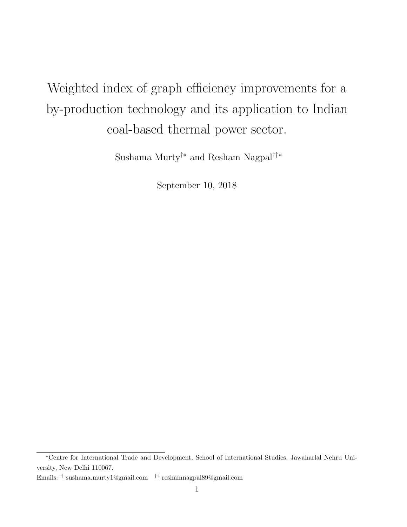# <span id="page-0-0"></span>Weighted index of graph efficiency improvements for a by-production technology and its application to Indian coal-based thermal power sector.

Sushama Murty†∗ and Resham Nagpal††∗

September 10, 2018

<sup>∗</sup>Centre for International Trade and Development, School of International Studies, Jawaharlal Nehru University, New Delhi 110067.

Emails: † sushama.murty1@gmail.com †† reshamnagpal89@gmail.com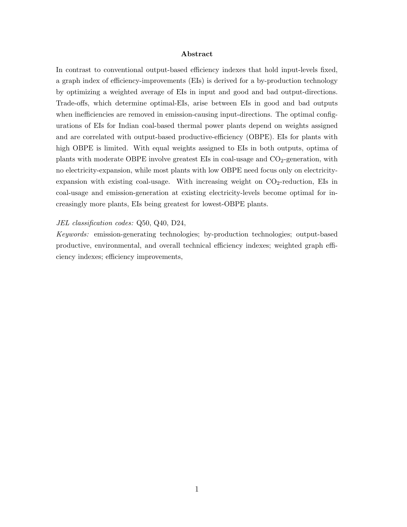#### Abstract

In contrast to conventional output-based efficiency indexes that hold input-levels fixed, a graph index of efficiency-improvements (EIs) is derived for a by-production technology by optimizing a weighted average of EIs in input and good and bad output-directions. Trade-offs, which determine optimal-EIs, arise between EIs in good and bad outputs when inefficiencies are removed in emission-causing input-directions. The optimal configurations of EIs for Indian coal-based thermal power plants depend on weights assigned and are correlated with output-based productive-efficiency (OBPE). EIs for plants with high OBPE is limited. With equal weights assigned to EIs in both outputs, optima of plants with moderate OBPE involve greatest EIs in coal-usage and  $CO<sub>2</sub>$ -generation, with no electricity-expansion, while most plants with low OBPE need focus only on electricityexpansion with existing coal-usage. With increasing weight on  $CO_2$ -reduction, EIs in coal-usage and emission-generation at existing electricity-levels become optimal for increasingly more plants, EIs being greatest for lowest-OBPE plants.

#### JEL classification codes: Q50, Q40, D24,

Keywords: emission-generating technologies; by-production technologies; output-based productive, environmental, and overall technical efficiency indexes; weighted graph efficiency indexes; efficiency improvements,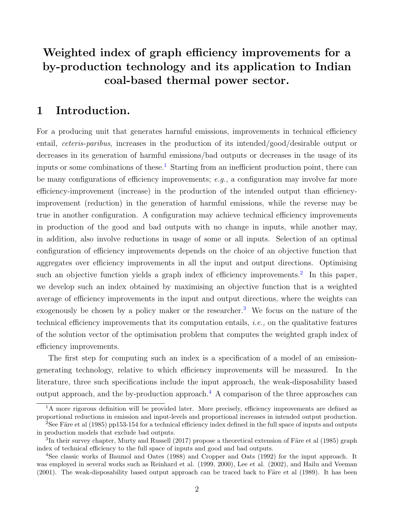## Weighted index of graph efficiency improvements for a by-production technology and its application to Indian coal-based thermal power sector.

## <span id="page-2-0"></span>1 Introduction.

For a producing unit that generates harmful emissions, improvements in technical efficiency entail, ceteris-paribus, increases in the production of its intended/good/desirable output or decreases in its generation of harmful emissions/bad outputs or decreases in the usage of its inputs or some combinations of these.<sup>[1](#page-0-0)</sup> Starting from an inefficient production point, there can be many configurations of efficiency improvements; e.g., a configuration may involve far more efficiency-improvement (increase) in the production of the intended output than efficiencyimprovement (reduction) in the generation of harmful emissions, while the reverse may be true in another configuration. A configuration may achieve technical efficiency improvements in production of the good and bad outputs with no change in inputs, while another may, in addition, also involve reductions in usage of some or all inputs. Selection of an optimal configuration of efficiency improvements depends on the choice of an objective function that aggregates over efficiency improvements in all the input and output directions. Optimising such an objective function yields a graph index of efficiency improvements.<sup>[2](#page-0-0)</sup> In this paper, we develop such an index obtained by maximising an objective function that is a weighted average of efficiency improvements in the input and output directions, where the weights can exogenously be chosen by a policy maker or the researcher.<sup>[3](#page-0-0)</sup> We focus on the nature of the technical efficiency improvements that its computation entails, *i.e.*, on the qualitative features of the solution vector of the optimisation problem that computes the weighted graph index of efficiency improvements.

The first step for computing such an index is a specification of a model of an emissiongenerating technology, relative to which efficiency improvements will be measured. In the literature, three such specifications include the input approach, the weak-disposability based output approach, and the by-production approach.<sup>[4](#page-0-0)</sup> A comparison of the three approaches can

<sup>&</sup>lt;sup>1</sup>A more rigorous definition will be provided later. More precisely, efficiency improvements are defined as proportional reductions in emission and input-levels and proportional increases in intended output production.

<sup>&</sup>lt;sup>2</sup>See Färe et al (1985) pp153-154 for a technical efficiency index defined in the full space of inputs and outputs in production models that exclude bad outputs.

 ${}^{3}$ In their survey chapter, Murty and Russell (2017) propose a theoretical extension of Färe et al (1985) graph index of technical efficiency to the full space of inputs and good and bad outputs.

<sup>4</sup>See classic works of Baumol and Oates (1988) and Cropper and Oats (1992) for the input approach. It was employed in several works such as Reinhard et al. (1999, 2000), Lee et al. (2002), and Hailu and Veeman  $(2001)$ . The weak-disposability based output approach can be traced back to Färe et al  $(1989)$ . It has been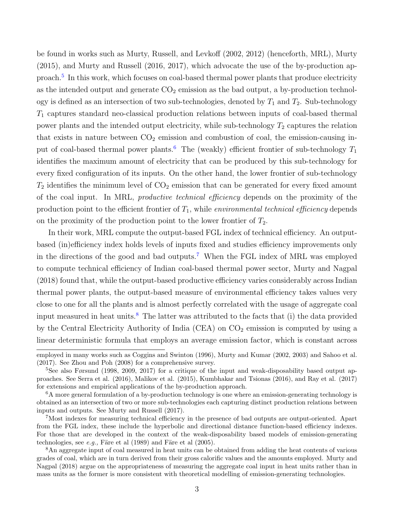be found in works such as Murty, Russell, and Levkoff (2002, 2012) (henceforth, MRL), Murty (2015), and Murty and Russell (2016, 2017), which advocate the use of the by-production ap-proach.<sup>[5](#page-0-0)</sup> In this work, which focuses on coal-based thermal power plants that produce electricity as the intended output and generate  $CO<sub>2</sub>$  emission as the bad output, a by-production technology is defined as an intersection of two sub-technologies, denoted by  $T_1$  and  $T_2$ . Sub-technology  $T_1$  captures standard neo-classical production relations between inputs of coal-based thermal power plants and the intended output electricity, while sub-technology  $T_2$  captures the relation that exists in nature between  $CO<sub>2</sub>$  emission and combustion of coal, the emission-causing in-put of coal-based thermal power plants.<sup>[6](#page-0-0)</sup> The (weakly) efficient frontier of sub-technology  $T_1$ identifies the maximum amount of electricity that can be produced by this sub-technology for every fixed configuration of its inputs. On the other hand, the lower frontier of sub-technology  $T_2$  identifies the minimum level of  $CO_2$  emission that can be generated for every fixed amount of the coal input. In MRL, productive technical efficiency depends on the proximity of the production point to the efficient frontier of  $T_1$ , while environmental technical efficiency depends on the proximity of the production point to the lower frontier of  $T_2$ .

In their work, MRL compute the output-based FGL index of technical efficiency. An outputbased (in)efficiency index holds levels of inputs fixed and studies efficiency improvements only in the directions of the good and bad outputs.[7](#page-0-0) When the FGL index of MRL was employed to compute technical efficiency of Indian coal-based thermal power sector, Murty and Nagpal (2018) found that, while the output-based productive efficiency varies considerably across Indian thermal power plants, the output-based measure of environmental efficiency takes values very close to one for all the plants and is almost perfectly correlated with the usage of aggregate coal input measured in heat units.<sup>[8](#page-0-0)</sup> The latter was attributed to the facts that (i) the data provided by the Central Electricity Authority of India (CEA) on  $CO<sub>2</sub>$  emission is computed by using a linear deterministic formula that employs an average emission factor, which is constant across

employed in many works such as Coggins and Swinton (1996), Murty and Kumar (2002, 2003) and Sahoo et al. (2017). See Zhou and Poh (2008) for a comprehensive survey.

<sup>&</sup>lt;sup>5</sup>See also Førsund (1998, 2009, 2017) for a critique of the input and weak-disposability based output approaches. See Serra et al. (2016), Malikov et al. (2015), Kumbhakar and Tsionas (2016), and Ray et al. (2017) for extensions and empirical applications of the by-production approach.

<sup>6</sup>A more general formulation of a by-production technology is one where an emission-generating technology is obtained as an intersection of two or more sub-technologies each capturing distinct production relations between inputs and outputs. See Murty and Russell (2017).

<sup>7</sup>Most indexes for measuring technical efficiency in the presence of bad outputs are output-oriented. Apart from the FGL index, these include the hyperbolic and directional distance function-based efficiency indexes. For those that are developed in the context of the weak-disposability based models of emission-generating technologies, see  $e.g.,$  Färe et al  $(1989)$  and Färe et al  $(2005).$ 

<sup>8</sup>An aggregate input of coal measured in heat units can be obtained from adding the heat contents of various grades of coal, which are in turn derived from their gross calorific values and the amounts employed. Murty and Nagpal (2018) argue on the appropriateness of measuring the aggregate coal input in heat units rather than in mass units as the former is more consistent with theoretical modelling of emission-generating technologies.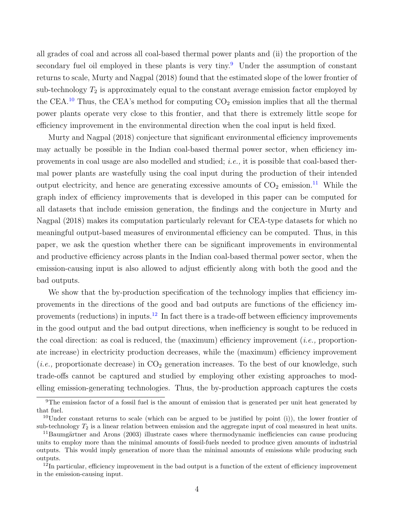all grades of coal and across all coal-based thermal power plants and (ii) the proportion of the secondary fuel oil employed in these plants is very tiny.<sup>[9](#page-0-0)</sup> Under the assumption of constant returns to scale, Murty and Nagpal (2018) found that the estimated slope of the lower frontier of sub-technology  $T_2$  is approximately equal to the constant average emission factor employed by the CEA.<sup>[10](#page-0-0)</sup> Thus, the CEA's method for computing  $CO<sub>2</sub>$  emission implies that all the thermal power plants operate very close to this frontier, and that there is extremely little scope for efficiency improvement in the environmental direction when the coal input is held fixed.

Murty and Nagpal (2018) conjecture that significant environmental efficiency improvements may actually be possible in the Indian coal-based thermal power sector, when efficiency improvements in coal usage are also modelled and studied; i.e., it is possible that coal-based thermal power plants are wastefully using the coal input during the production of their intended output electricity, and hence are generating excessive amounts of  $CO<sub>2</sub>$  emission.<sup>[11](#page-0-0)</sup> While the graph index of efficiency improvements that is developed in this paper can be computed for all datasets that include emission generation, the findings and the conjecture in Murty and Nagpal (2018) makes its computation particularly relevant for CEA-type datasets for which no meaningful output-based measures of environmental efficiency can be computed. Thus, in this paper, we ask the question whether there can be significant improvements in environmental and productive efficiency across plants in the Indian coal-based thermal power sector, when the emission-causing input is also allowed to adjust efficiently along with both the good and the bad outputs.

We show that the by-production specification of the technology implies that efficiency improvements in the directions of the good and bad outputs are functions of the efficiency im-provements (reductions) in inputs.<sup>[12](#page-0-0)</sup> In fact there is a trade-off between efficiency improvements in the good output and the bad output directions, when inefficiency is sought to be reduced in the coal direction: as coal is reduced, the (maximum) efficiency improvement (*i.e.*, proportionate increase) in electricity production decreases, while the (maximum) efficiency improvement (*i.e.*, proportionate decrease) in  $CO<sub>2</sub>$  generation increases. To the best of our knowledge, such trade-offs cannot be captured and studied by employing other existing approaches to modelling emission-generating technologies. Thus, the by-production approach captures the costs

<sup>&</sup>lt;sup>9</sup>The emission factor of a fossil fuel is the amount of emission that is generated per unit heat generated by that fuel.

 $10$ Under constant returns to scale (which can be argued to be justified by point (i)), the lower frontier of sub-technology  $T_2$  is a linear relation between emission and the aggregate input of coal measured in heat units.

 $11$ Baumgärtner and Arons (2003) illustrate cases where thermodynamic inefficiencies can cause producing units to employ more than the minimal amounts of fossil-fuels needed to produce given amounts of industrial outputs. This would imply generation of more than the minimal amounts of emissions while producing such outputs.

 $12$ In particular, efficiency improvement in the bad output is a function of the extent of efficiency improvement in the emission-causing input.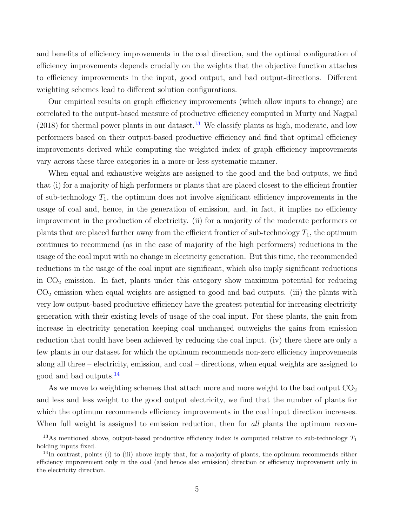and benefits of efficiency improvements in the coal direction, and the optimal configuration of efficiency improvements depends crucially on the weights that the objective function attaches to efficiency improvements in the input, good output, and bad output-directions. Different weighting schemes lead to different solution configurations.

Our empirical results on graph efficiency improvements (which allow inputs to change) are correlated to the output-based measure of productive efficiency computed in Murty and Nagpal  $(2018)$  for thermal power plants in our dataset.<sup>[13](#page-0-0)</sup> We classify plants as high, moderate, and low performers based on their output-based productive efficiency and find that optimal efficiency improvements derived while computing the weighted index of graph efficiency improvements vary across these three categories in a more-or-less systematic manner.

When equal and exhaustive weights are assigned to the good and the bad outputs, we find that (i) for a majority of high performers or plants that are placed closest to the efficient frontier of sub-technology  $T_1$ , the optimum does not involve significant efficiency improvements in the usage of coal and, hence, in the generation of emission, and, in fact, it implies no efficiency improvement in the production of electricity. (ii) for a majority of the moderate performers or plants that are placed farther away from the efficient frontier of sub-technology  $T_1$ , the optimum continues to recommend (as in the case of majority of the high performers) reductions in the usage of the coal input with no change in electricity generation. But this time, the recommended reductions in the usage of the coal input are significant, which also imply significant reductions in  $CO<sub>2</sub>$  emission. In fact, plants under this category show maximum potential for reducing CO<sup>2</sup> emission when equal weights are assigned to good and bad outputs. (iii) the plants with very low output-based productive efficiency have the greatest potential for increasing electricity generation with their existing levels of usage of the coal input. For these plants, the gain from increase in electricity generation keeping coal unchanged outweighs the gains from emission reduction that could have been achieved by reducing the coal input. (iv) there there are only a few plants in our dataset for which the optimum recommends non-zero efficiency improvements along all three – electricity, emission, and coal – directions, when equal weights are assigned to good and bad outputs.<sup>[14](#page-0-0)</sup>

As we move to weighting schemes that attach more and more weight to the bad output  $CO<sub>2</sub>$ and less and less weight to the good output electricity, we find that the number of plants for which the optimum recommends efficiency improvements in the coal input direction increases. When full weight is assigned to emission reduction, then for all plants the optimum recom-

<sup>&</sup>lt;sup>13</sup>As mentioned above, output-based productive efficiency index is computed relative to sub-technology  $T_1$ holding inputs fixed.

 $14$ In contrast, points (i) to (iii) above imply that, for a majority of plants, the optimum recommends either efficiency improvement only in the coal (and hence also emission) direction or efficiency improvement only in the electricity direction.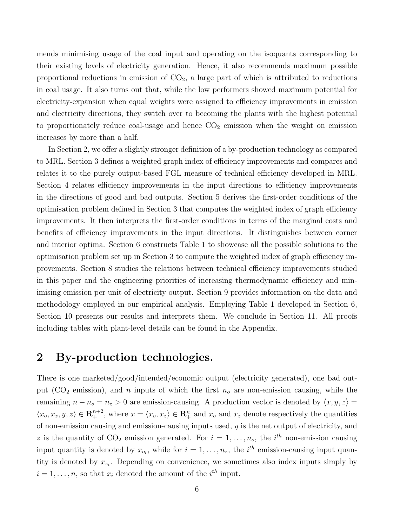mends minimising usage of the coal input and operating on the isoquants corresponding to their existing levels of electricity generation. Hence, it also recommends maximum possible proportional reductions in emission of  $CO<sub>2</sub>$ , a large part of which is attributed to reductions in coal usage. It also turns out that, while the low performers showed maximum potential for electricity-expansion when equal weights were assigned to efficiency improvements in emission and electricity directions, they switch over to becoming the plants with the highest potential to proportionately reduce coal-usage and hence  $CO<sub>2</sub>$  emission when the weight on emission increases by more than a half.

In Section 2, we offer a slightly stronger definition of a by-production technology as compared to MRL. Section 3 defines a weighted graph index of efficiency improvements and compares and relates it to the purely output-based FGL measure of technical efficiency developed in MRL. Section 4 relates efficiency improvements in the input directions to efficiency improvements in the directions of good and bad outputs. Section 5 derives the first-order conditions of the optimisation problem defined in Section 3 that computes the weighted index of graph efficiency improvements. It then interprets the first-order conditions in terms of the marginal costs and benefits of efficiency improvements in the input directions. It distinguishes between corner and interior optima. Section 6 constructs Table 1 to showcase all the possible solutions to the optimisation problem set up in Section 3 to compute the weighted index of graph efficiency improvements. Section 8 studies the relations between technical efficiency improvements studied in this paper and the engineering priorities of increasing thermodynamic efficiency and minimising emission per unit of electricity output. Section 9 provides information on the data and methodology employed in our empirical analysis. Employing Table 1 developed in Section 6, Section 10 presents our results and interprets them. We conclude in Section 11. All proofs including tables with plant-level details can be found in the Appendix.

## 2 By-production technologies.

There is one marketed/good/intended/economic output (electricity generated), one bad output (CO<sub>2</sub> emission), and n inputs of which the first  $n<sub>o</sub>$  are non-emission causing, while the remaining  $n - n_o = n_z > 0$  are emission-causing. A production vector is denoted by  $\langle x, y, z \rangle =$  $\langle x_o, x_z, y, z \rangle \in \mathbb{R}^{n+2}_+$ , where  $x = \langle x_o, x_z \rangle \in \mathbb{R}^n_+$  and  $x_o$  and  $x_z$  denote respectively the quantities of non-emission causing and emission-causing inputs used,  $y$  is the net output of electricity, and z is the quantity of  $CO_2$  emission generated. For  $i = 1, \ldots, n_o$ , the  $i^{th}$  non-emission causing input quantity is denoted by  $x_{o_i}$ , while for  $i = 1, \ldots, n_z$ , the  $i^{th}$  emission-causing input quantity is denoted by  $x_{z_i}$ . Depending on convenience, we sometimes also index inputs simply by  $i = 1, \ldots, n$ , so that  $x_i$  denoted the amount of the  $i^{th}$  input.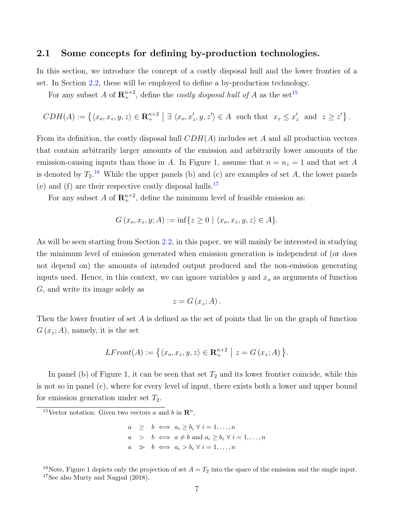#### 2.1 Some concepts for defining by-production technologies.

In this section, we introduce the concept of a costly disposal hull and the lower frontier of a set. In Section [2.2,](#page-8-0) these will be employed to define a by-production technology.

For any subset A of  $\mathbf{R}^{n+2}_+$ , define the *costly disposal hull of* A as the set<sup>[15](#page-0-0)</sup>

$$
CDH(A) := \left\{ \langle x_o, x_z, y, z \rangle \in \mathbf{R}^{n+2}_+ \; \middle| \; \exists \; \langle x_o, x'_z, y, z' \rangle \in A \; \text{ such that } \; x_z \leq x'_z \; \text{ and } \; z \geq z' \right\}.
$$

From its definition, the costly disposal hull  $CDH(A)$  includes set A and all production vectors that contain arbitrarily larger amounts of the emission and arbitrarily lower amounts of the emission-causing inputs than those in A. In Figure 1, assume that  $n = n<sub>z</sub> = 1$  and that set A is denoted by  $T_2$ .<sup>[16](#page-0-0)</sup> While the upper panels (b) and (c) are examples of set A, the lower panels (e) and (f) are their respective costly disposal hulls.<sup>[17](#page-0-0)</sup>

For any subset A of  $\mathbb{R}^{n+2}$ , define the minimum level of feasible emission as:

$$
G(x_o, x_z, y; A) := \inf\{z \ge 0 \mid \langle x_o, x_z, y, z \rangle \in A\}.
$$

As will be seen starting from Section [2.2,](#page-8-0) in this paper, we will mainly be interested in studying the minimum level of emission generated when emission generation is independent of (or does not depend on) the amounts of intended output produced and the non-emission generating inputs used. Hence, in this context, we can ignore variables  $y$  and  $x<sub>o</sub>$  as arguments of function G, and write its image solely as

$$
z = G(x_z; A).
$$

Then the lower frontier of set A is defined as the set of points that lie on the graph of function  $G(x_z; A)$ , namely, it is the set

$$
LFront(A) := \left\{ \langle x_o, x_z, y, z \rangle \in \mathbf{R}^{n+2} \mid z = G(x_z; A) \right\}.
$$

In panel (b) of Figure 1, it can be seen that set  $T_2$  and its lower frontier coincide, while this is not so in panel (c), where for every level of input, there exists both a lower and upper bound for emission generation under set  $T_2$ .

<sup>&</sup>lt;sup>15</sup>Vector notation: Given two vectors a and b in  $\mathbb{R}^n$ ,

 $a \geq b \iff a_i \geq b_i \forall i = 1, \dots, n$  $a \Rightarrow b \iff a \neq b \text{ and } a_i \geq b_i \forall i = 1, \dots, n$  $a \Rightarrow b \iff a_i > b_i \forall i = 1, ..., n$ 

<sup>&</sup>lt;sup>16</sup>Note, Figure 1 depicts only the projection of set  $A = T_2$  into the space of the emission and the single input. <sup>17</sup>See also Murty and Nagpal (2018).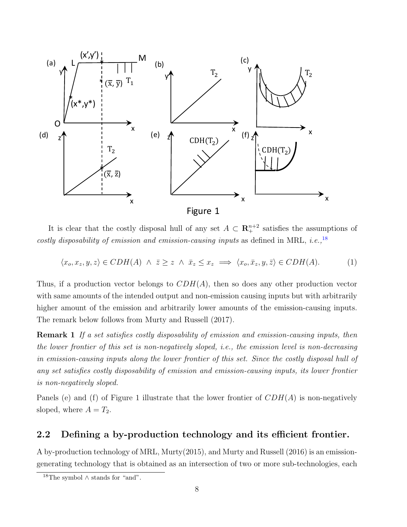

It is clear that the costly disposal hull of any set  $A \subset \mathbb{R}^{n+2}$  satisfies the assumptions of costly disposability of emission and emission-causing inputs as defined in MRL, i.e.,  $^{18}$  $^{18}$  $^{18}$ 

<span id="page-8-1"></span> $\langle x_o, x_z, y, z \rangle \in CDH(A) \land \overline{z} \geq z \land \overline{x}_z \leq x_z \implies \langle x_o, \overline{x}_z, y, \overline{z} \rangle \in CDH(A).$  (1)

Thus, if a production vector belongs to  $CDH(A)$ , then so does any other production vector with same amounts of the intended output and non-emission causing inputs but with arbitrarily higher amount of the emission and arbitrarily lower amounts of the emission-causing inputs. The remark below follows from Murty and Russell (2017).

Remark 1 If a set satisfies costly disposability of emission and emission-causing inputs, then the lower frontier of this set is non-negatively sloped, i.e., the emission level is non-decreasing in emission-causing inputs along the lower frontier of this set. Since the costly disposal hull of any set satisfies costly disposability of emission and emission-causing inputs, its lower frontier is non-negatively sloped.

Panels (e) and (f) of Figure 1 illustrate that the lower frontier of  $CDH(A)$  is non-negatively sloped, where  $A = T_2$ .

#### <span id="page-8-0"></span>2.2 Defining a by-production technology and its efficient frontier.

A by-production technology of MRL, Murty(2015), and Murty and Russell (2016) is an emissiongenerating technology that is obtained as an intersection of two or more sub-technologies, each

<sup>18</sup>The symbol ∧ stands for "and".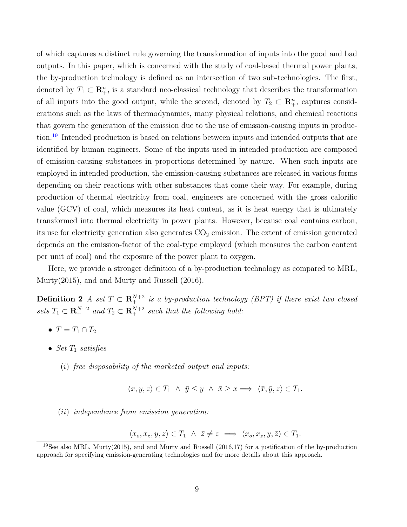of which captures a distinct rule governing the transformation of inputs into the good and bad outputs. In this paper, which is concerned with the study of coal-based thermal power plants, the by-production technology is defined as an intersection of two sub-technologies. The first, denoted by  $T_1 \subset \mathbb{R}^n_+$ , is a standard neo-classical technology that describes the transformation of all inputs into the good output, while the second, denoted by  $T_2 \subset \mathbb{R}^n_+$ , captures considerations such as the laws of thermodynamics, many physical relations, and chemical reactions that govern the generation of the emission due to the use of emission-causing inputs in produc-tion.<sup>[19](#page-0-0)</sup> Intended production is based on relations between inputs and intended outputs that are identified by human engineers. Some of the inputs used in intended production are composed of emission-causing substances in proportions determined by nature. When such inputs are employed in intended production, the emission-causing substances are released in various forms depending on their reactions with other substances that come their way. For example, during production of thermal electricity from coal, engineers are concerned with the gross calorific value (GCV) of coal, which measures its heat content, as it is heat energy that is ultimately transformed into thermal electricity in power plants. However, because coal contains carbon, its use for electricity generation also generates  $CO<sub>2</sub>$  emission. The extent of emission generated depends on the emission-factor of the coal-type employed (which measures the carbon content per unit of coal) and the exposure of the power plant to oxygen.

Here, we provide a stronger definition of a by-production technology as compared to MRL, Murty(2015), and and Murty and Russell (2016).

**Definition 2** A set  $T \text{ }\subset \mathbb{R}^{N+2}_+$  is a by-production technology (BPT) if there exist two closed sets  $T_1 \subset \mathbf{R}^{N+2}_+$  and  $T_2 \subset \mathbf{R}^{N+2}_+$  such that the following hold:

- <span id="page-9-0"></span>•  $T = T_1 \cap T_2$
- Set  $T_1$  satisfies
	- $(i)$  free disposability of the marketed output and inputs:
		- $\langle x, y, z \rangle \in T_1 \land \bar{y} \leq y \land \bar{x} \geq x \Longrightarrow \langle \bar{x}, \bar{y}, z \rangle \in T_1.$
	- (ii) independence from emission generation:

$$
\langle x_o, x_z, y, z \rangle \in T_1 \land \overline{z} \neq z \implies \langle x_o, x_z, y, \overline{z} \rangle \in T_1.
$$

 $19$ See also MRL, Murty(2015), and and Murty and Russell (2016,17) for a justification of the by-production approach for specifying emission-generating technologies and for more details about this approach.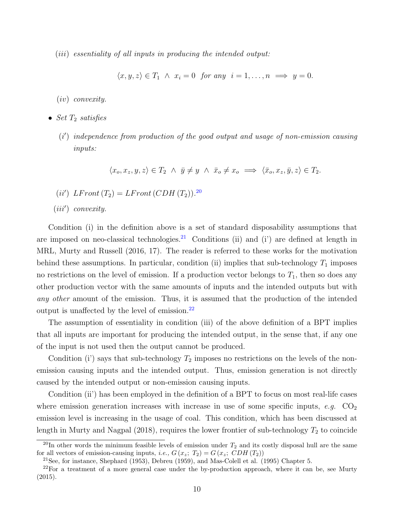(*iii*) essentiality of all inputs in producing the intended output:

 $\langle x, y, z \rangle \in T_1 \land x_i = 0$  for any  $i = 1, \dots, n \implies y = 0$ .

(iv) convexity.

- Set  $T_2$  satisfies
	- (i') independence from production of the good output and usage of non-emission causing inputs:

 $\langle x_o, x_z, y, z \rangle \in T_2 \land \bar{y} \neq y \land \bar{x}_o \neq x_o \implies \langle \bar{x}_o, x_z, \bar{y}, z \rangle \in T_2.$ 

- (*ii'*)  $LFront (T_2) = LFront (CDH (T_2)).^{20}$  $LFront (T_2) = LFront (CDH (T_2)).^{20}$  $LFront (T_2) = LFront (CDH (T_2)).^{20}$
- $(iii')$  convexity.

Condition (i) in the definition above is a set of standard disposability assumptions that are imposed on neo-classical technologies.<sup>[21](#page-0-0)</sup> Conditions (ii) and (i') are defined at length in MRL, Murty and Russell (2016, 17). The reader is referred to these works for the motivation behind these assumptions. In particular, condition (ii) implies that sub-technology  $T_1$  imposes no restrictions on the level of emission. If a production vector belongs to  $T_1$ , then so does any other production vector with the same amounts of inputs and the intended outputs but with any other amount of the emission. Thus, it is assumed that the production of the intended output is unaffected by the level of emission. $^{22}$  $^{22}$  $^{22}$ 

The assumption of essentiality in condition (iii) of the above definition of a BPT implies that all inputs are important for producing the intended output, in the sense that, if any one of the input is not used then the output cannot be produced.

Condition (i) says that sub-technology  $T_2$  imposes no restrictions on the levels of the nonemission causing inputs and the intended output. Thus, emission generation is not directly caused by the intended output or non-emission causing inputs.

Condition (ii') has been employed in the definition of a BPT to focus on most real-life cases where emission generation increases with increase in use of some specific inputs, e.g.  $CO<sub>2</sub>$ emission level is increasing in the usage of coal. This condition, which has been discussed at length in Murty and Nagpal  $(2018)$ , requires the lower frontier of sub-technology  $T_2$  to coincide

 $^{20}$ In other words the minimum feasible levels of emission under  $T_2$  and its costly disposal hull are the same for all vectors of emission-causing inputs, *i.e.*,  $G(x_z; T_2) = G(x_z; CDH(T_2))$ 

 $21$ See, for instance, Shephard (1953), Debreu (1959), and Mas-Colell et al. (1995) Chapter 5.

 $22$ For a treatment of a more general case under the by-production approach, where it can be, see Murty (2015).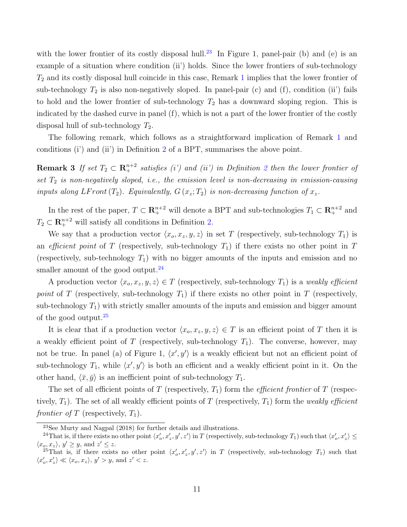with the lower frontier of its costly disposal hull.<sup>[23](#page-0-0)</sup> In Figure 1, panel-pair (b) and (e) is an example of a situation where condition (ii) holds. Since the lower frontiers of sub-technology  $T_2$  and its costly disposal hull coincide in this case, Remark [1](#page-8-1) implies that the lower frontier of sub-technology  $T_2$  is also non-negatively sloped. In panel-pair (c) and (f), condition (ii) fails to hold and the lower frontier of sub-technology  $T_2$  has a downward sloping region. This is indicated by the dashed curve in panel (f), which is not a part of the lower frontier of the costly disposal hull of sub-technology  $T_2$ .

<span id="page-11-0"></span>The following remark, which follows as a straightforward implication of Remark [1](#page-8-1) and conditions (i') and (ii') in Definition [2](#page-9-0) of a BPT, summarises the above point.

**Remark 3** If set  $T_2 \text{ }\subset \mathbb{R}_+^{n+2}$  $T_2 \text{ }\subset \mathbb{R}_+^{n+2}$  $T_2 \text{ }\subset \mathbb{R}_+^{n+2}$  satisfies (i') and (ii') in Definition 2 then the lower frontier of set  $T_2$  is non-negatively sloped, i.e., the emission level is non-decreasing in emission-causing inputs along LF ront  $(T_2)$ . Equivalently,  $G(x_z; T_2)$  is non-decreasing function of  $x_z$ .

In the rest of the paper,  $T \subset \mathbb{R}^{n+2}_+$  will denote a BPT and sub-technologies  $T_1 \subset \mathbb{R}^{n+2}_+$  and  $T_2 \subset \mathbb{R}^{n+2}_+$  will satisfy all conditions in Definition [2.](#page-9-0)

We say that a production vector  $\langle x_o, x_z, y, z \rangle$  in set T (respectively, sub-technology  $T_1$ ) is an efficient point of T (respectively, sub-technology  $T_1$ ) if there exists no other point in T (respectively, sub-technology  $T_1$ ) with no bigger amounts of the inputs and emission and no smaller amount of the good output. $^{24}$  $^{24}$  $^{24}$ 

A production vector  $\langle x_o, x_z, y, z \rangle \in T$  (respectively, sub-technology  $T_1$ ) is a weakly efficient point of T (respectively, sub-technology  $T_1$ ) if there exists no other point in T (respectively, sub-technology  $T_1$ ) with strictly smaller amounts of the inputs and emission and bigger amount of the good output.[25](#page-0-0)

It is clear that if a production vector  $\langle x_o, x_z, y, z \rangle \in T$  is an efficient point of T then it is a weakly efficient point of T (respectively, sub-technology  $T_1$ ). The converse, however, may not be true. In panel (a) of Figure 1,  $\langle x', y' \rangle$  is a weakly efficient but not an efficient point of sub-technology  $T_1$ , while  $\langle x', y' \rangle$  is both an efficient and a weakly efficient point in it. On the other hand,  $\langle \bar{x}, \bar{y} \rangle$  is an inefficient point of sub-technology  $T_1$ .

The set of all efficient points of T (respectively,  $T_1$ ) form the *efficient frontier* of T (respectively,  $T_1$ ). The set of all weakly efficient points of T (respectively,  $T_1$ ) form the weakly efficient frontier of T (respectively,  $T_1$ ).

 $^{23}$ See Murty and Nagpal (2018) for further details and illustrations.

<sup>&</sup>lt;sup>24</sup>That is, if there exists no other point  $\langle x'_o, x'_z, y', z' \rangle$  in T (respectively, sub-technology  $T_1$ ) such that  $\langle x'_o, x'_z \rangle \le$  $\langle x_o, x_z \rangle$ ,  $y' \geq y$ , and  $z' \leq z$ .

<sup>&</sup>lt;sup>25</sup>That is, if there exists no other point  $\langle x'_o, x'_z, y', z' \rangle$  in T (respectively, sub-technology  $T_1$ ) such that  $\langle x'_o, x'_z \rangle \ll \langle x_o, x_z \rangle, y' > y$ , and  $z' < z$ .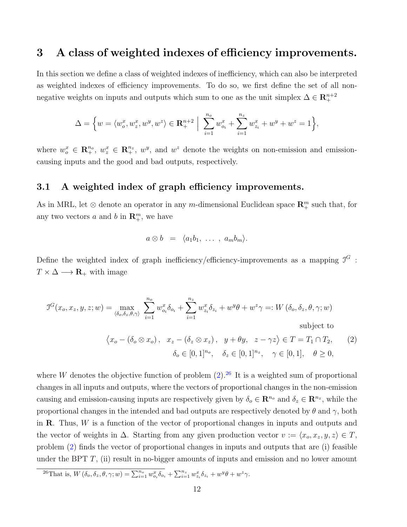### 3 A class of weighted indexes of efficiency improvements.

In this section we define a class of weighted indexes of inefficiency, which can also be interpreted as weighted indexes of efficiency improvements. To do so, we first define the set of all nonnegative weights on inputs and outputs which sum to one as the unit simplex  $\Delta \in \mathbb{R}^{n+2}_+$ 

$$
\Delta = \left\{ w = \langle w_o^x, w_z^x, w^y, w^z \rangle \in \mathbf{R}^{n+2}_+ \; \Big| \; \sum_{i=1}^{n_o} w_{o_i}^x + \sum_{i=1}^{n_z} w_{z_i}^x + w^y + w^z = 1 \right\},\
$$

where  $w_o^x \in \mathbb{R}_+^{n_o}$ ,  $w_z^x \in \mathbb{R}_+^{n_z}$ ,  $w_y^y$ , and  $w_z^z$  denote the weights on non-emission and emissioncausing inputs and the good and bad outputs, respectively.

#### 3.1 A weighted index of graph efficiency improvements.

As in MRL, let  $\otimes$  denote an operator in any m-dimensional Euclidean space  $\mathbb{R}^m_+$  such that, for any two vectors a and b in  $\mathbf{R}_{+}^{m}$ , we have

$$
a\otimes b = \langle a_1b_1, \ldots, a_mb_m \rangle.
$$

Define the weighted index of graph inefficiency/efficiency-improvements as a mapping  $\mathcal{I}^G$ :  $T \times \Delta \longrightarrow \mathbf{R}_{+}$  with image

<span id="page-12-0"></span>
$$
\mathcal{I}^G(x_o, x_z, y, z; w) = \max_{\langle \delta_o, \delta_z, \theta, \gamma \rangle} \sum_{i=1}^{n_o} w_{o_i}^x \delta_{o_i} + \sum_{i=1}^{n_z} w_{z_i}^x \delta_{z_i} + w^y \theta + w^z \gamma =: W(\delta_o, \delta_z, \theta, \gamma; w)
$$
\nsubject to\n
$$
\langle x_o - (\delta_o \otimes x_o), \quad x_z - (\delta_z \otimes x_z), \quad y + \theta y, \quad z - \gamma z \rangle \in T = T_1 \cap T_2,
$$
\n(2)

 $\delta_o \in [0, 1]^{n_o}, \quad \delta_z \in [0, 1]^{n_z}, \quad \gamma \in [0, 1], \quad \theta \ge 0,$ 

where W denotes the objective function of problem  $(2)$ .<sup>[26](#page-0-0)</sup> It is a weighted sum of proportional changes in all inputs and outputs, where the vectors of proportional changes in the non-emission causing and emission-causing inputs are respectively given by  $\delta_o \in \mathbb{R}^{n_o}$  and  $\delta_z \in \mathbb{R}^{n_z}$ , while the proportional changes in the intended and bad outputs are respectively denoted by  $\theta$  and  $\gamma$ , both in  $\bf R$ . Thus,  $W$  is a function of the vector of proportional changes in inputs and outputs and the vector of weights in  $\Delta$ . Starting from any given production vector  $v := \langle x_o, x_z, y, z \rangle \in T$ , problem [\(2\)](#page-12-0) finds the vector of proportional changes in inputs and outputs that are (i) feasible under the BPT  $T$ , (ii) result in no-bigger amounts of inputs and emission and no lower amount

<sup>&</sup>lt;sup>26</sup>That is,  $W(\delta_o, \delta_z, \theta, \gamma; w) = \sum_{i=1}^{n_o} w_{o_i}^x \delta_{o_i} + \sum_{i=1}^{n_z} w_{z_i}^x \delta_{z_i} + w^y \theta + w^z \gamma$ .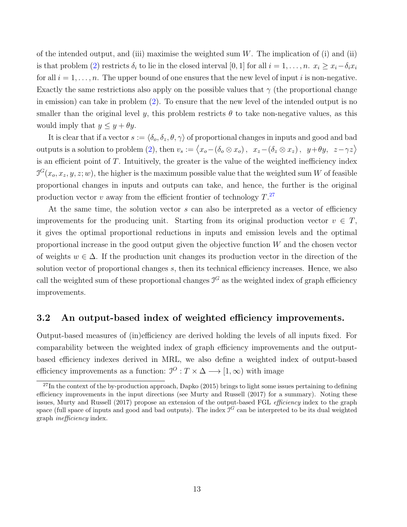of the intended output, and (iii) maximise the weighted sum  $W$ . The implication of (i) and (ii) is that problem [\(2\)](#page-12-0) restricts  $\delta_i$  to lie in the closed interval [0, 1] for all  $i = 1, \ldots, n$ .  $x_i \ge x_i - \delta_i x_i$ for all  $i = 1, \ldots, n$ . The upper bound of one ensures that the new level of input i is non-negative. Exactly the same restrictions also apply on the possible values that  $\gamma$  (the proportional change in emission) can take in problem [\(2\)](#page-12-0). To ensure that the new level of the intended output is no smaller than the original level y, this problem restricts  $\theta$  to take non-negative values, as this would imply that  $y \leq y + \theta y$ .

It is clear that if a vector  $s := \langle \delta_o, \delta_z, \theta, \gamma \rangle$  of proportional changes in inputs and good and bad outputs is a solution to problem [\(2\)](#page-12-0), then  $v_s := \langle x_o - (\delta_o \otimes x_o), x_z - (\delta_z \otimes x_z), y + \theta y, z - \gamma z \rangle$ is an efficient point of  $T$ . Intuitively, the greater is the value of the weighted inefficiency index  $J^G(x_o, x_z, y, z; w)$ , the higher is the maximum possible value that the weighted sum W of feasible proportional changes in inputs and outputs can take, and hence, the further is the original production vector v away from the efficient frontier of technology  $T^{27}$  $T^{27}$  $T^{27}$ .

At the same time, the solution vector s can also be interpreted as a vector of efficiency improvements for the producing unit. Starting from its original production vector  $v \in T$ , it gives the optimal proportional reductions in inputs and emission levels and the optimal proportional increase in the good output given the objective function W and the chosen vector of weights  $w \in \Delta$ . If the production unit changes its production vector in the direction of the solution vector of proportional changes s, then its technical efficiency increases. Hence, we also call the weighted sum of these proportional changes  $J<sup>G</sup>$  as the weighted index of graph efficiency improvements.

#### 3.2 An output-based index of weighted efficiency improvements.

Output-based measures of (in)efficiency are derived holding the levels of all inputs fixed. For comparability between the weighted index of graph efficiency improvements and the outputbased efficiency indexes derived in MRL, we also define a weighted index of output-based efficiency improvements as a function:  $\mathcal{I}^{\mathcal{O}}: T \times \Delta \longrightarrow [1, \infty)$  with image

 $^{27}$ In the context of the by-production approach, Dapko (2015) brings to light some issues pertaining to defining efficiency improvements in the input directions (see Murty and Russell (2017) for a summary). Noting these issues, Murty and Russell (2017) propose an extension of the output-based FGL efficiency index to the graph space (full space of inputs and good and bad outputs). The index  $\mathcal{I}^G$  can be interpreted to be its dual weighted graph inefficiency index.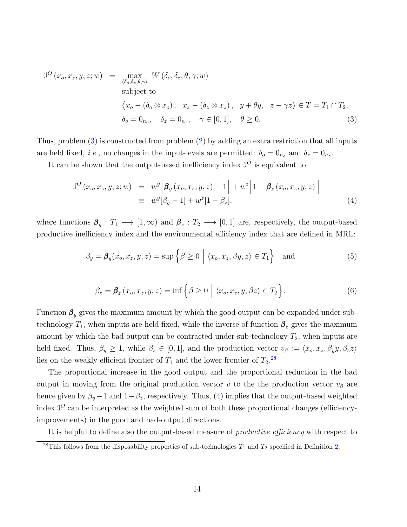<span id="page-14-0"></span>
$$
J^{O}(x_{o}, x_{z}, y, z; w) = \max_{\langle \delta_{o}, \delta_{z}, \theta, \gamma \rangle} W(\delta_{o}, \delta_{z}, \theta, \gamma; w)
$$
  
subject to  

$$
\langle x_{o} - (\delta_{o} \otimes x_{o}), x_{z} - (\delta_{z} \otimes x_{z}), y + \theta y, z - \gamma z \rangle \in T = T_{1} \cap T_{2},
$$

$$
\delta_{o} = 0_{n_{o}}, \delta_{z} = 0_{n_{z}}, \gamma \in [0, 1], \theta \ge 0,
$$
 (3)

Thus, problem [\(3\)](#page-14-0) is constructed from problem [\(2\)](#page-12-0) by adding an extra restriction that all inputs are held fixed, *i.e.*, no changes in the input-levels are permitted:  $\delta_o = 0_{n_o}$  and  $\delta_z = 0_{n_z}$ .

It can be shown that the output-based inefficiency index  $\mathcal{I}^O$  is equivalent to

<span id="page-14-1"></span>
$$
J^{O}(x_{o}, x_{z}, y, z; w) = w^{y} \Big[ \beta_{y}(x_{o}, x_{z}, y, z) - 1 \Big] + w^{z} \Big[ 1 - \beta_{z}(x_{o}, x_{z}, y, z) \Big]
$$
  

$$
\equiv w^{y} [\beta_{y} - 1] + w^{z} [1 - \beta_{z}], \qquad (4)
$$

where functions  $\beta_y: T_1 \longrightarrow [1, \infty)$  and  $\beta_z: T_2 \longrightarrow [0, 1]$  are, respectively, the output-based productive inefficiency index and the environmental efficiency index that are defined in MRL:

<span id="page-14-3"></span>
$$
\beta_y = \beta_y(x_o, x_z, y, z) = \sup \left\{ \beta \ge 0 \mid \langle x_o, x_z, \beta y, z \rangle \in T_1 \right\} \text{ and } (5)
$$

<span id="page-14-2"></span>
$$
\beta_z = \beta_z(x_o, x_z, y, z) = \inf \{ \beta \ge 0 \mid \langle x_o, x_z, y, \beta z \rangle \in T_2 \}.
$$
 (6)

Function  $\beta_y$  gives the maximum amount by which the good output can be expanded under subtechnology  $T_1$ , when inputs are held fixed, while the inverse of function  $\beta_z$  gives the maximum amount by which the bad output can be contracted under sub-technology  $T_2$ , when inputs are held fixed. Thus,  $\beta_y \geq 1$ , while  $\beta_z \in [0, 1]$ , and the production vector  $v_\beta := \langle x_o, x_z, \beta_y y, \beta_z z \rangle$ lies on the weakly efficient frontier of  $T_1$  and the lower frontier of  $T_2$ <sup>[28](#page-0-0)</sup>

The proportional increase in the good output and the proportional reduction in the bad output in moving from the original production vector v to the the production vector  $v<sub>β</sub>$  are hence given by  $\beta_y - 1$  and  $1 - \beta_z$ , respectively. Thus, [\(4\)](#page-14-1) implies that the output-based weighted index  $J<sup>O</sup>$  can be interpreted as the weighted sum of both these proportional changes (efficiencyimprovements) in the good and bad-output directions.

It is helpful to define also the output-based measure of *productive efficiency* with respect to

<sup>&</sup>lt;sup>28</sup>This follows from the disposability properties of sub-technologies  $T_1$  and  $T_2$  specified in Definition [2.](#page-9-0)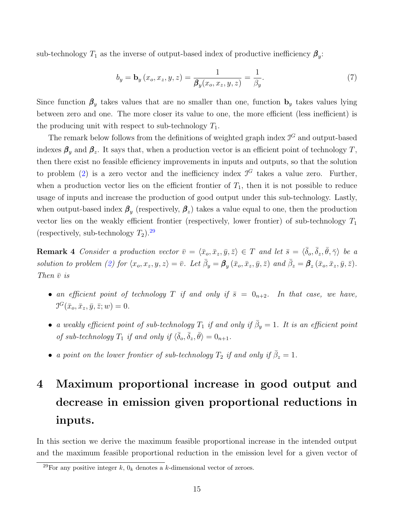sub-technology  $T_1$  as the inverse of output-based index of productive inefficiency  $\beta_y$ :

$$
b_y = \mathbf{b}_y(x_o, x_z, y, z) = \frac{1}{\beta_y(x_o, x_z, y, z)} = \frac{1}{\beta_y}.
$$
 (7)

Since function  $\beta_y$  takes values that are no smaller than one, function  $\mathbf{b}_y$  takes values lying between zero and one. The more closer its value to one, the more efficient (less inefficient) is the producing unit with respect to sub-technology  $T_1$ .

The remark below follows from the definitions of weighted graph index  $\mathcal{I}^G$  and output-based indexes  $\beta_y$  and  $\beta_z$ . It says that, when a production vector is an efficient point of technology T, then there exist no feasible efficiency improvements in inputs and outputs, so that the solution to problem [\(2\)](#page-12-0) is a zero vector and the inefficiency index  $\mathcal{I}^G$  takes a value zero. Further, when a production vector lies on the efficient frontier of  $T_1$ , then it is not possible to reduce usage of inputs and increase the production of good output under this sub-technology. Lastly, when output-based index  $\beta_y$  (respectively,  $\beta_z$ ) takes a value equal to one, then the production vector lies on the weakly efficient frontier (respectively, lower frontier) of sub-technology  $T_1$ (respectively, sub-technology  $T_2$ ).<sup>[29](#page-0-0)</sup>

<span id="page-15-0"></span>**Remark 4** Consider a production vector  $\bar{v} = \langle \bar{x}_o, \bar{x}_z, \bar{y}, \bar{z} \rangle \in T$  and let  $\bar{s} = \langle \bar{\delta}_o, \bar{\delta}_z, \bar{\theta}, \bar{\gamma} \rangle$  be a solution to problem [\(2\)](#page-12-0) for  $\langle x_o, x_z, y, z \rangle = \overline{v}$ . Let  $\overline{\beta}_y = \beta_y(\overline{x}_o, \overline{x}_z, \overline{y}, \overline{z})$  and  $\overline{\beta}_z = \beta_z(\overline{x}_o, \overline{x}_z, \overline{y}, \overline{z})$ . Then  $\bar{v}$  is

- an efficient point of technology T if and only if  $\bar{s} = 0_{n+2}$ . In that case, we have,  $J^G(\bar{x}_o, \bar{x}_z, \bar{y}, \bar{z}; w) = 0.$
- a weakly efficient point of sub-technology  $T_1$  if and only if  $\bar{\beta}_y = 1$ . It is an efficient point of sub-technology  $T_1$  if and only if  $\langle \overline{\delta}_o, \overline{\delta}_z, \overline{\theta} \rangle = 0_{n+1}$ .
- a point on the lower frontier of sub-technology  $T_2$  if and only if  $\bar{\beta}_z = 1$ .

## 4 Maximum proportional increase in good output and decrease in emission given proportional reductions in inputs.

In this section we derive the maximum feasible proportional increase in the intended output and the maximum feasible proportional reduction in the emission level for a given vector of

<sup>&</sup>lt;sup>29</sup>For any positive integer k,  $0_k$  denotes a k-dimensional vector of zeroes.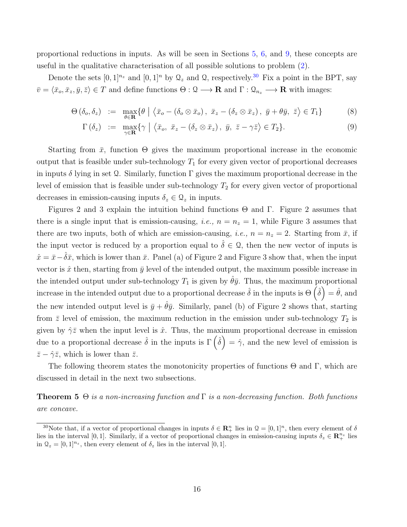proportional reductions in inputs. As will be seen in Sections [5,](#page-21-0) [6,](#page-24-0) and [9,](#page-33-0) these concepts are useful in the qualitative characterisation of all possible solutions to problem [\(2\)](#page-12-0).

Denote the sets  $[0, 1]^{n_z}$  and  $[0, 1]^{n}$  by  $\mathcal{Q}_z$  and  $\mathcal{Q}$ , respectively.<sup>[30](#page-0-0)</sup> Fix a point in the BPT, say  $\bar{v} = \langle \bar{x}_o, \bar{x}_z, \bar{y}, \bar{z} \rangle \in T$  and define functions  $\Theta : \Omega \longrightarrow \mathbf{R}$  and  $\Gamma : \Omega_{n_z} \longrightarrow \mathbf{R}$  with images:

<span id="page-16-1"></span>
$$
\Theta\left(\delta_{o},\delta_{z}\right) := \max_{\theta \in \mathbf{R}} \{\theta \mid \left\langle \bar{x}_{o} - \left(\delta_{o} \otimes \bar{x}_{o}\right), \ \bar{x}_{z} - \left(\delta_{z} \otimes \bar{x}_{z}\right), \ \bar{y} + \theta \bar{y}, \ \bar{z}\right\rangle \in T_{1}\}\tag{8}
$$

$$
\Gamma\left(\delta_z\right) := \max_{\gamma \in \mathbf{R}} \{ \gamma \mid \left\langle \bar{x}_o, \ \bar{x}_z - \left(\delta_z \otimes \bar{x}_z\right), \ \bar{y}, \ \bar{z} - \gamma \bar{z} \right\rangle \in T_2 \}. \tag{9}
$$

Starting from  $\bar{x}$ , function  $\Theta$  gives the maximum proportional increase in the economic output that is feasible under sub-technology  $T_1$  for every given vector of proportional decreases in inputs  $\delta$  lying in set Q. Similarly, function  $\Gamma$  gives the maximum proportional decrease in the level of emission that is feasible under sub-technology  $T_2$  for every given vector of proportional decreases in emission-causing inputs  $\delta_z \in \mathcal{Q}_z$  in inputs.

Figures 2 and 3 explain the intuition behind functions  $\Theta$  and  $\Gamma$ . Figure 2 assumes that there is a single input that is emission-causing, *i.e.*,  $n = n_z = 1$ , while Figure 3 assumes that there are two inputs, both of which are emission-causing, *i.e.*,  $n = n_z = 2$ . Starting from  $\bar{x}$ , if the input vector is reduced by a proportion equal to  $\hat{\delta} \in \mathcal{Q}$ , then the new vector of inputs is  $\hat{x} = \bar{x} - \hat{\delta}\bar{x}$ , which is lower than  $\bar{x}$ . Panel (a) of Figure 2 and Figure 3 show that, when the input vector is  $\hat{x}$  then, starting from  $\bar{y}$  level of the intended output, the maximum possible increase in the intended output under sub-technology  $T_1$  is given by  $\hat{\theta} \bar{y}$ . Thus, the maximum proportional increase in the intended output due to a proportional decrease  $\hat{\delta}$  in the inputs is  $\Theta\left(\hat{\delta}\right) = \hat{\theta}$ , and the new intended output level is  $\bar{y} + \hat{\theta}\bar{y}$ . Similarly, panel (b) of Figure 2 shows that, starting from  $\bar{z}$  level of emission, the maximum reduction in the emission under sub-technology  $T_2$  is given by  $\hat{\gamma}\bar{z}$  when the input level is  $\hat{x}$ . Thus, the maximum proportional decrease in emission due to a proportional decrease  $\hat{\delta}$  in the inputs is  $\Gamma(\hat{\delta}) = \hat{\gamma}$ , and the new level of emission is  $\bar{z} - \hat{\gamma}\bar{z}$ , which is lower than  $\bar{z}$ .

<span id="page-16-0"></span>The following theorem states the monotonicity properties of functions  $\Theta$  and  $\Gamma$ , which are discussed in detail in the next two subsections.

**Theorem 5**  $\Theta$  is a non-increasing function and  $\Gamma$  is a non-decreasing function. Both functions are concave.

<sup>&</sup>lt;sup>30</sup>Note that, if a vector of proportional changes in inputs  $\delta \in \mathbb{R}^n_+$  lies in  $\mathcal{Q} = [0,1]^n$ , then every element of  $\delta$ lies in the interval [0, 1]. Similarly, if a vector of proportional changes in emission-causing inputs  $\delta_z \in \mathbb{R}^{n_z}$  lies in  $\mathcal{Q}_z = [0,1]^{n_z}$ , then every element of  $\delta_z$  lies in the interval  $[0,1]$ .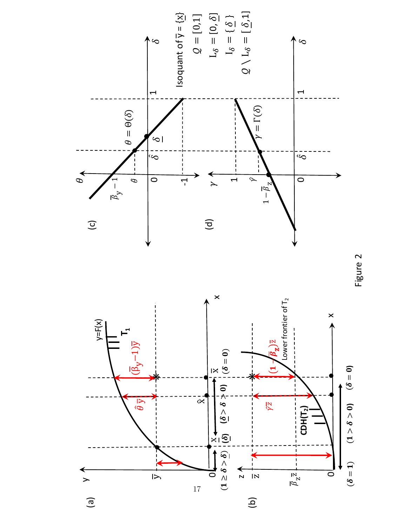

Figure 2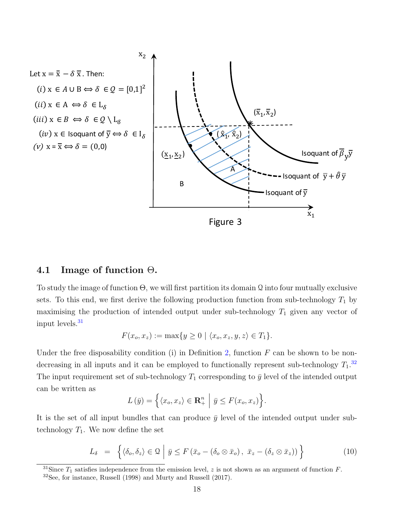

#### 4.1 Image of function  $\Theta$ .

To study the image of function  $\Theta$ , we will first partition its domain Q into four mutually exclusive sets. To this end, we first derive the following production function from sub-technology  $T_1$  by maximising the production of intended output under sub-technology  $T_1$  given any vector of input levels. $31$ 

$$
F(x_o, x_z) := \max\{y \ge 0 \mid \langle x_o, x_z, y, z \rangle \in T_1\}.
$$

Under the free disposability condition (i) in Definition [2,](#page-9-0) function  $F$  can be shown to be nondecreasing in all inputs and it can be employed to functionally represent sub-technology  $T_1$ .<sup>[32](#page-0-0)</sup> The input requirement set of sub-technology  $T_1$  corresponding to  $\bar{y}$  level of the intended output can be written as

$$
L(\bar{y}) = \left\{ \langle x_o, x_z \rangle \in \mathbf{R}_+^n \middle| \bar{y} \le F(x_o, x_z) \right\}.
$$

It is the set of all input bundles that can produce  $\bar{y}$  level of the intended output under subtechnology  $T_1$ . We now define the set

<span id="page-18-0"></span>
$$
L_{\delta} = \left\{ \langle \delta_{o}, \delta_{z} \rangle \in \mathcal{Q} \mid \bar{y} \le F(\bar{x}_{o} - (\delta_{o} \otimes \bar{x}_{o}), \ \bar{x}_{z} - (\delta_{z} \otimes \bar{x}_{z})) \right\}
$$
(10)

<sup>31</sup>Since  $T_1$  satisfies independence from the emission level, z is not shown as an argument of function F.

<sup>32</sup>See, for instance, Russell (1998) and Murty and Russell (2017).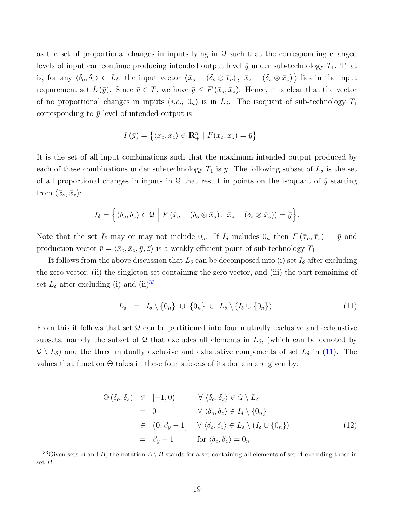as the set of proportional changes in inputs lying in  $\Omega$  such that the corresponding changed levels of input can continue producing intended output level  $\bar{y}$  under sub-technology  $T_1$ . That is, for any  $\langle \delta_o, \delta_z \rangle \in L_\delta$ , the input vector  $\langle \bar{x}_o - (\delta_o \otimes \bar{x}_o), \ \bar{x}_z - (\delta_z \otimes \bar{x}_z) \rangle$  lies in the input requirement set  $L(\bar{y})$ . Since  $\bar{v} \in T$ , we have  $\bar{y} \leq F(\bar{x}_o, \bar{x}_z)$ . Hence, it is clear that the vector of no proportional changes in inputs (i.e.,  $0_n$ ) is in  $L_{\delta}$ . The isoquant of sub-technology  $T_1$ corresponding to  $\bar{y}$  level of intended output is

$$
I(\bar{y}) = \{ \langle x_o, x_z \rangle \in \mathbf{R}_+^n \mid F(x_o, x_z) = \bar{y} \}
$$

It is the set of all input combinations such that the maximum intended output produced by each of these combinations under sub-technology  $T_1$  is  $\bar{y}$ . The following subset of  $L_{\delta}$  is the set of all proportional changes in inputs in Q that result in points on the isoquant of  $\bar{y}$  starting from  $\langle \bar{x}_o, \bar{x}_z \rangle$ :

$$
I_{\delta} = \left\{ \langle \delta_o, \delta_z \rangle \in \mathfrak{Q} \middle| F(\bar{x}_o - (\delta_o \otimes \bar{x}_o), \ \bar{x}_z - (\delta_z \otimes \bar{x}_z)) = \bar{y} \right\}.
$$

Note that the set  $I_{\delta}$  may or may not include  $0_n$ . If  $I_{\delta}$  includes  $0_n$  then  $F(\bar{x}_o, \bar{x}_z) = \bar{y}$  and production vector  $\bar{v} = \langle \bar{x}_o, \bar{x}_z, \bar{y}, \bar{z} \rangle$  is a weakly efficient point of sub-technology  $T_1$ .

It follows from the above discussion that  $L_{\delta}$  can be decomposed into (i) set  $I_{\delta}$  after excluding the zero vector, (ii) the singleton set containing the zero vector, and (iii) the part remaining of set  $L_{\delta}$  after excluding (i) and (ii)<sup>[33](#page-0-0)</sup>

<span id="page-19-0"></span>
$$
L_{\delta} = I_{\delta} \setminus \{0_n\} \cup \{0_n\} \cup L_{\delta} \setminus (I_{\delta} \cup \{0_n\}). \tag{11}
$$

From this it follows that set  $\Omega$  can be partitioned into four mutually exclusive and exhaustive subsets, namely the subset of Q that excludes all elements in  $L_{\delta}$ , (which can be denoted by  $\mathcal{Q} \setminus L_{\delta}$  and the three mutually exclusive and exhaustive components of set  $L_{\delta}$  in [\(11\)](#page-19-0). The values that function  $\Theta$  takes in these four subsets of its domain are given by:

<span id="page-19-1"></span>
$$
\Theta(\delta_o, \delta_z) \in [-1, 0) \qquad \forall \langle \delta_o, \delta_z \rangle \in \mathcal{Q} \setminus L_{\delta}
$$
  
\n
$$
= 0 \qquad \forall \langle \delta_o, \delta_z \rangle \in I_{\delta} \setminus \{0_n\}
$$
  
\n
$$
\in (0, \bar{\beta}_y - 1] \qquad \forall \langle \delta_o, \delta_z \rangle \in L_{\delta} \setminus (I_{\delta} \cup \{0_n\})
$$
  
\n
$$
= \bar{\beta}_y - 1 \qquad \text{for } \langle \delta_o, \delta_z \rangle = 0_n. \qquad (12)
$$

<sup>&</sup>lt;sup>33</sup>Given sets A and B, the notation  $A \setminus B$  stands for a set containing all elements of set A excluding those in set B.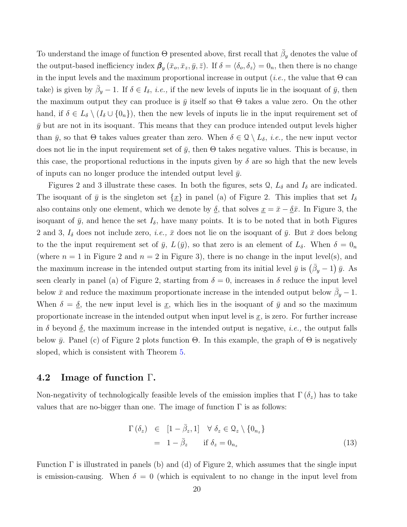To understand the image of function  $\Theta$  presented above, first recall that  $\bar{\beta}_y$  denotes the value of the output-based inefficiency index  $\beta_y(\bar{x}_o, \bar{x}_z, \bar{y}, \bar{z})$ . If  $\delta = \langle \delta_o, \delta_z \rangle = 0_n$ , then there is no change in the input levels and the maximum proportional increase in output (*i.e.*, the value that  $\Theta$  can take) is given by  $\bar{\beta}_y - 1$ . If  $\delta \in I_\delta$ , *i.e.*, if the new levels of inputs lie in the isoquant of  $\bar{y}$ , then the maximum output they can produce is  $\bar{y}$  itself so that  $\Theta$  takes a value zero. On the other hand, if  $\delta \in L_{\delta} \setminus (I_{\delta} \cup \{0_n\})$ , then the new levels of inputs lie in the input requirement set of  $\bar{y}$  but are not in its isoquant. This means that they can produce intended output levels higher than  $\bar{y}$ , so that  $\Theta$  takes values greater than zero. When  $\delta \in \mathcal{Q} \setminus L_{\delta}$ , *i.e.*, the new input vector does not lie in the input requirement set of  $\bar{y}$ , then  $\Theta$  takes negative values. This is because, in this case, the proportional reductions in the inputs given by  $\delta$  are so high that the new levels of inputs can no longer produce the intended output level  $\bar{y}$ .

Figures 2 and 3 illustrate these cases. In both the figures, sets  $\mathcal{Q}, L_{\delta}$  and  $I_{\delta}$  are indicated. The isoquant of  $\bar{y}$  is the singleton set  $\{\underline{x}\}\$ in panel (a) of Figure 2. This implies that set  $I_{\delta}$ also contains only one element, which we denote by  $\underline{\delta}$ , that solves  $\underline{x} = \overline{x} - \underline{\delta}\overline{x}$ . In Figure 3, the isoquant of  $\bar{y}$ , and hence the set  $I_{\delta}$ , have many points. It is to be noted that in both Figures 2 and 3,  $I_{\delta}$  does not include zero, *i.e.*,  $\bar{x}$  does not lie on the isoquant of  $\bar{y}$ . But  $\bar{x}$  does belong to the the input requirement set of  $\bar{y}$ ,  $L(\bar{y})$ , so that zero is an element of  $L_{\delta}$ . When  $\delta = 0_n$ (where  $n = 1$  in Figure 2 and  $n = 2$  in Figure 3), there is no change in the input level(s), and the maximum increase in the intended output starting from its initial level  $\bar{y}$  is  $(\bar{\beta}_y - 1)$   $\bar{y}$ . As seen clearly in panel (a) of Figure 2, starting from  $\delta = 0$ , increases in  $\delta$  reduce the input level below  $\bar{x}$  and reduce the maximum proportionate increase in the intended output below  $\bar{\beta}_y - 1$ . When  $\delta = \underline{\delta}$ , the new input level is <u>x</u>, which lies in the isoquant of  $\bar{y}$  and so the maximum proportionate increase in the intended output when input level is  $\underline{x}$ , is zero. For further increase in  $\delta$  beyond  $\delta$ , the maximum increase in the intended output is negative, *i.e.*, the output falls below  $\bar{y}$ . Panel (c) of Figure 2 plots function  $\Theta$ . In this example, the graph of  $\Theta$  is negatively sloped, which is consistent with Theorem [5.](#page-16-0)

#### 4.2 Image of function Γ.

Non-negativity of technologically feasible levels of the emission implies that  $\Gamma(\delta_z)$  has to take values that are no-bigger than one. The image of function  $\Gamma$  is as follows:

<span id="page-20-0"></span>
$$
\Gamma(\delta_z) \in [1 - \bar{\beta}_z, 1] \quad \forall \ \delta_z \in \mathcal{Q}_z \setminus \{0_{n_z}\}\
$$
  
=  $1 - \bar{\beta}_z$  if  $\delta_z = 0_{n_z}$  (13)

Function  $\Gamma$  is illustrated in panels (b) and (d) of Figure 2, which assumes that the single input is emission-causing. When  $\delta = 0$  (which is equivalent to no change in the input level from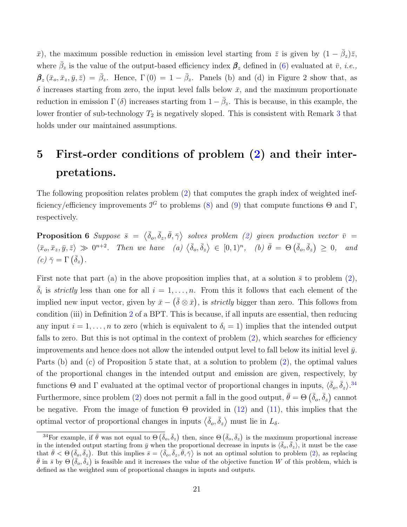$\bar{x}$ ), the maximum possible reduction in emission level starting from  $\bar{z}$  is given by  $(1 - \bar{\beta}_z)\bar{z}$ , where  $\bar{\beta}_z$  is the value of the output-based efficiency index  $\beta_z$  defined in [\(6\)](#page-14-2) evaluated at  $\bar{v}$ , *i.e.*,  $\mathbf{\beta}_z(\bar{x}_o,\bar{x}_z,\bar{y},\bar{z}) = \bar{\beta}_z$ . Hence,  $\Gamma(0) = 1 - \bar{\beta}_z$ . Panels (b) and (d) in Figure 2 show that, as  $\delta$  increases starting from zero, the input level falls below  $\bar{x}$ , and the maximum proportionate reduction in emission  $\Gamma(\delta)$  increases starting from  $1-\bar{\beta}_z$ . This is because, in this example, the lower frontier of sub-technology  $T_2$  is negatively sloped. This is consistent with Remark [3](#page-11-0) that holds under our maintained assumptions.

## <span id="page-21-0"></span>5 First-order conditions of problem [\(2\)](#page-12-0) and their interpretations.

<span id="page-21-1"></span>The following proposition relates problem [\(2\)](#page-12-0) that computes the graph index of weighted inefficiency/efficiency improvements  $\mathcal{I}^G$  to problems [\(8\)](#page-16-1) and [\(9\)](#page-16-1) that compute functions  $\Theta$  and  $\Gamma$ , respectively.

**Proposition 6** Suppose  $\bar{s} = \langle \bar{\delta}_o, \bar{\delta}_z, \bar{\theta}, \bar{\gamma} \rangle$  solves problem [\(2\)](#page-12-0) given production vector  $\bar{v} =$  $\langle \bar{x}_o, \bar{x}_z, \bar{y}, \bar{z} \rangle \gg 0^{n+2}$ . Then we have  $\langle a \rangle \langle \bar{\delta}_o, \bar{\delta}_z \rangle \in [0, 1)^n$ ,  $\langle b \rangle \bar{\theta} = \Theta(\bar{\delta}_o, \bar{\delta}_z) \geq 0$ , and (c)  $\bar{\gamma} = \Gamma\left(\bar{\delta}_z\right)$ .

First note that part (a) in the above proposition implies that, at a solution  $\bar{s}$  to problem [\(2\)](#page-12-0),  $\bar{\delta}_i$  is *strictly* less than one for all  $i = 1, \ldots, n$ . From this it follows that each element of the implied new input vector, given by  $\bar{x} - (\bar{\delta} \otimes \bar{x})$ , is *strictly* bigger than zero. This follows from condition (iii) in Definition [2](#page-9-0) of a BPT. This is because, if all inputs are essential, then reducing any input  $i = 1, \ldots, n$  to zero (which is equivalent to  $\delta_i = 1$ ) implies that the intended output falls to zero. But this is not optimal in the context of problem  $(2)$ , which searches for efficiency improvements and hence does not allow the intended output level to fall below its initial level  $\bar{y}$ . Parts (b) and (c) of Proposition 5 state that, at a solution to problem [\(2\)](#page-12-0), the optimal values of the proportional changes in the intended output and emission are given, respectively, by functions  $\Theta$  and  $\Gamma$  evaluated at the optimal vector of proportional changes in inputs,  $\langle \bar{\delta}_o, \bar{\delta}_z \rangle$ .<sup>[34](#page-0-0)</sup> Furthermore, since problem [\(2\)](#page-12-0) does not permit a fall in the good output,  $\bar{\theta} = \Theta\left(\bar{\delta}_o, \bar{\delta}_z\right)$  cannot be negative. From the image of function  $\Theta$  provided in [\(12\)](#page-19-1) and [\(11\)](#page-19-0), this implies that the optimal vector of proportional changes in inputs  $\langle \bar{\delta}_o, \bar{\delta}_z \rangle$  must lie in  $L_{\delta}$ .

<sup>&</sup>lt;sup>34</sup>For example, if  $\bar{\theta}$  was not equal to  $\Theta$   $(\bar{\delta}_o, \bar{\delta}_z)$  then, since  $\Theta$   $(\bar{\delta}_o, \bar{\delta}_z)$  is the maximum proportional increase in the intended output starting from  $\bar{y}$  when the proportional decrease in inputs is  $\langle \bar{\delta}_{o}, \bar{\delta}_{z} \rangle$ , it must be the case that  $\bar{\theta} < \Theta\left(\bar{\delta}_o, \bar{\delta}_z\right)$ . But this implies  $\bar{s} = \langle \bar{\delta}_o, \bar{\delta}_z, \bar{\theta}, \bar{\gamma} \rangle$  is not an optimal solution to problem [\(2\)](#page-12-0), as replacing  $\bar{\theta}$  in  $\bar{s}$  by  $\Theta(\bar{\delta}_{o}, \bar{\delta}_{z})$  is feasible and it increases the value of the objective function W of this problem, which is defined as the weighted sum of proportional changes in inputs and outputs.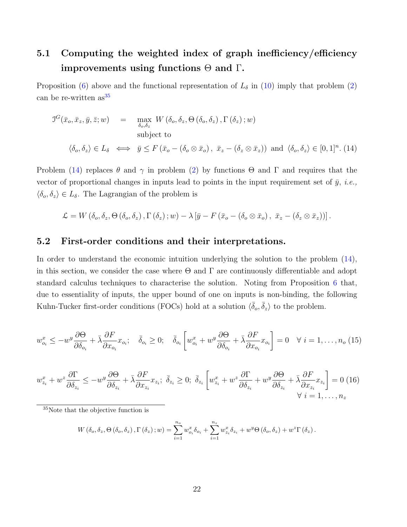## 5.1 Computing the weighted index of graph inefficiency/efficiency improvements using functions  $\Theta$  and  $\Gamma$ .

Proposition [\(6\)](#page-21-1) above and the functional representation of  $L_{\delta}$  in [\(10\)](#page-18-0) imply that problem [\(2\)](#page-12-0) can be re-written  $as^{35}$  $as^{35}$  $as^{35}$ 

<span id="page-22-0"></span>
$$
J^{G}(\bar{x}_{o}, \bar{x}_{z}, \bar{y}, \bar{z}; w) = \max_{\delta_{o}, \delta_{z}} W(\delta_{o}, \delta_{z}, \Theta(\delta_{o}, \delta_{z}), \Gamma(\delta_{z}); w)
$$
  
subject to  

$$
\langle \delta_{o}, \delta_{z} \rangle \in L_{\delta} \iff \bar{y} \leq F(\bar{x}_{o} - (\delta_{o} \otimes \bar{x}_{o}), \bar{x}_{z} - (\delta_{z} \otimes \bar{x}_{z})) \text{ and } \langle \delta_{o}, \delta_{z} \rangle \in [0, 1]^{n}. (14)
$$

Problem [\(14\)](#page-22-0) replaces  $\theta$  and  $\gamma$  in problem [\(2\)](#page-12-0) by functions  $\Theta$  and  $\Gamma$  and requires that the vector of proportional changes in inputs lead to points in the input requirement set of  $\bar{y}$ , *i.e.*,  $\langle \delta_o, \delta_z \rangle \in L_{\delta}$ . The Lagrangian of the problem is

$$
\mathcal{L} = W\left(\delta_o, \delta_z, \Theta\left(\delta_o, \delta_z\right), \Gamma\left(\delta_z\right); w\right) - \lambda \left[\bar{y} - F\left(\bar{x}_o - \left(\delta_o \otimes \bar{x}_o\right), \ \bar{x}_z - \left(\delta_z \otimes \bar{x}_z\right)\right)\right].
$$

#### 5.2 First-order conditions and their interpretations.

In order to understand the economic intuition underlying the solution to the problem [\(14\)](#page-22-0), in this section, we consider the case where  $\Theta$  and  $\Gamma$  are continuously differentiable and adopt standard calculus techniques to characterise the solution. Noting from Proposition [6](#page-21-1) that, due to essentiality of inputs, the upper bound of one on inputs is non-binding, the following Kuhn-Tucker first-order conditions (FOCs) hold at a solution  $\langle \bar{\delta}_{o}, \bar{\delta}_{z} \rangle$  to the problem.

<span id="page-22-1"></span>
$$
w_{o_i}^x \le -w^y \frac{\partial \Theta}{\partial \delta_{o_i}} + \bar{\lambda} \frac{\partial F}{\partial x_{o_i}} x_{o_i}; \quad \bar{\delta}_{o_i} \ge 0; \quad \bar{\delta}_{o_i} \left[ w_{o_i}^x + w^y \frac{\partial \Theta}{\partial \delta_{o_i}} + \bar{\lambda} \frac{\partial F}{\partial x_{o_i}} x_{o_i} \right] = 0 \quad \forall \ i = 1, \dots, n_o \ (15)
$$

<span id="page-22-2"></span>
$$
w_{z_i}^x + w^z \frac{\partial \Gamma}{\partial \delta_{z_i}} \le -w^y \frac{\partial \Theta}{\partial \delta_{z_i}} + \bar{\lambda} \frac{\partial F}{\partial x_{z_i}} x_{z_i}; \ \ \bar{\delta}_{z_i} \ge 0; \ \ \bar{\delta}_{z_i} \left[ w_{z_i}^x + w^z \frac{\partial \Gamma}{\partial \delta_{z_i}} + w^y \frac{\partial \Theta}{\partial \delta_{z_i}} + \bar{\lambda} \frac{\partial F}{\partial x_{z_i}} x_{z_i} \right] = 0 \ (16)
$$

<sup>35</sup>Note that the objective function is

$$
W(\delta_o, \delta_z, \Theta(\delta_o, \delta_z), \Gamma(\delta_z); w) = \sum_{i=1}^{n_o} w_{o_i}^x \delta_{o_i} + \sum_{i=1}^{n_z} w_{z_i}^x \delta_{z_i} + w^y \Theta(\delta_o, \delta_z) + w^z \Gamma(\delta_z).
$$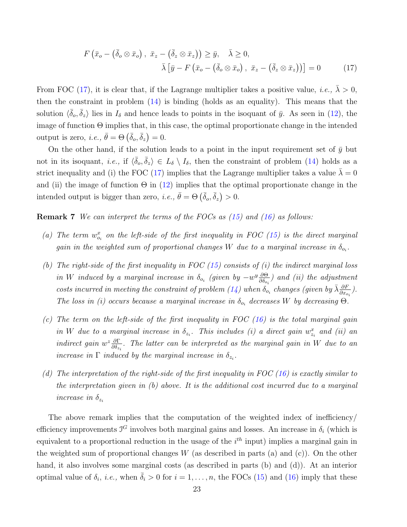<span id="page-23-0"></span>
$$
F\left(\bar{x}_o - \left(\bar{\delta}_o \otimes \bar{x}_o\right), \ \bar{x}_z - \left(\bar{\delta}_z \otimes \bar{x}_z\right)\right) \ge \bar{y}, \quad \bar{\lambda} \ge 0,
$$

$$
\bar{\lambda}\left[\bar{y} - F\left(\bar{x}_o - \left(\bar{\delta}_o \otimes \bar{x}_o\right), \ \bar{x}_z - \left(\bar{\delta}_z \otimes \bar{x}_z\right)\right)\right] = 0 \tag{17}
$$

From FOC [\(17\)](#page-23-0), it is clear that, if the Lagrange multiplier takes a positive value, *i.e.*,  $\bar{\lambda} > 0$ , then the constraint in problem [\(14\)](#page-22-0) is binding (holds as an equality). This means that the solution  $\langle \bar{\delta}_o, \bar{\delta}_z \rangle$  lies in  $I_\delta$  and hence leads to points in the isoquant of  $\bar{y}$ . As seen in [\(12\)](#page-19-1), the image of function  $\Theta$  implies that, in this case, the optimal proportionate change in the intended output is zero, *i.e.*,  $\bar{\theta} = \Theta\left(\bar{\delta}_o, \bar{\delta}_z\right) = 0.$ 

On the other hand, if the solution leads to a point in the input requirement set of  $\bar{y}$  but not in its isoquant, *i.e.*, if  $\langle \bar{\delta}_{o}, \bar{\delta}_{z} \rangle \in L_{\delta} \setminus I_{\delta}$ , then the constraint of problem [\(14\)](#page-22-0) holds as a strict inequality and (i) the FOC [\(17\)](#page-23-0) implies that the Lagrange multiplier takes a value  $\bar{\lambda} = 0$ and (ii) the image of function  $\Theta$  in [\(12\)](#page-19-1) implies that the optimal proportionate change in the intended output is bigger than zero, *i.e.*,  $\bar{\theta} = \Theta\left(\bar{\delta}_o, \bar{\delta}_z\right) > 0$ .

<span id="page-23-1"></span>**Remark 7** We can interpret the terms of the FOCs as  $(15)$  and  $(16)$  as follows:

- (a) The term  $w_{o_i}^x$  on the left-side of the first inequality in FOC [\(15\)](#page-22-1) is the direct marginal gain in the weighted sum of proportional changes W due to a marginal increase in  $\delta_{o_i}$ .
- (b) The right-side of the first inequality in FOC  $(15)$  consists of  $(i)$  the indirect marginal loss in W induced by a marginal increase in  $\delta_{o_i}$  (given by  $-w^y\frac{\partial \Theta}{\partial \delta_{o_i}}$  $\frac{\partial \Theta}{\partial \delta_{o_i}}$ ) and (ii) the adjustment costs incurred in meeting the constraint of problem [\(14\)](#page-22-0) when  $\delta_{o_i}$  changes (given by  $\bar{\lambda} \frac{\partial F}{\partial x_{o_i}}$ ). The loss in (i) occurs because a marginal increase in  $\delta_{o_i}$  decreases W by decreasing  $\Theta$ .
- (c) The term on the left-side of the first inequality in FOC  $(16)$  is the total marginal gain in W due to a marginal increase in  $\delta_{z_i}$ . This includes (i) a direct gain  $w_{z_i}^x$  and (ii) an indirect gain  $w^z \frac{\partial \Gamma}{\partial \delta}$  $\frac{\partial \Gamma}{\partial \delta_{z_i}}$ . The latter can be interpreted as the marginal gain in W due to an increase in  $\Gamma$  induced by the marginal increase in  $\delta_{z_i}$ .
- (d) The interpretation of the right-side of the first inequality in FOC [\(16\)](#page-22-2) is exactly similar to the interpretation given in  $(b)$  above. It is the additional cost incurred due to a marginal increase in  $\delta_{z_i}$

The above remark implies that the computation of the weighted index of inefficiency/ efficiency improvements  $\mathcal{I}^G$  involves both marginal gains and losses. An increase in  $\delta_i$  (which is equivalent to a proportional reduction in the usage of the  $i<sup>th</sup>$  input) implies a marginal gain in the weighted sum of proportional changes  $W$  (as described in parts (a) and (c)). On the other hand, it also involves some marginal costs (as described in parts (b) and (d)). At an interior optimal value of  $\delta_i$ , *i.e.*, when  $\bar{\delta}_i > 0$  for  $i = 1, \ldots, n$ , the FOCs [\(15\)](#page-22-1) and [\(16\)](#page-22-2) imply that these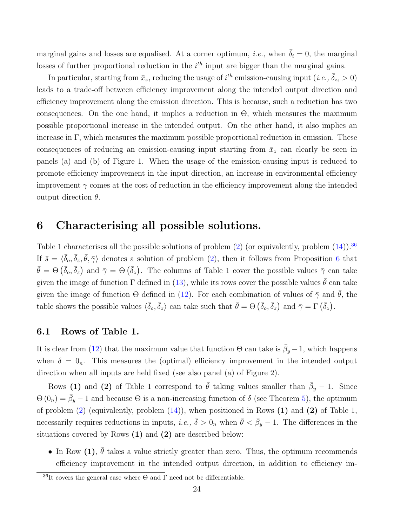marginal gains and losses are equalised. At a corner optimum, *i.e.*, when  $\bar{\delta}_i = 0$ , the marginal losses of further proportional reduction in the  $i<sup>th</sup>$  input are bigger than the marginal gains.

In particular, starting from  $\bar{x}_z$ , reducing the usage of  $i^{th}$  emission-causing input  $(i.e., \bar{\delta}_{z_i} > 0)$ leads to a trade-off between efficiency improvement along the intended output direction and efficiency improvement along the emission direction. This is because, such a reduction has two consequences. On the one hand, it implies a reduction in  $\Theta$ , which measures the maximum possible proportional increase in the intended output. On the other hand, it also implies an increase in Γ, which measures the maximum possible proportional reduction in emission. These consequences of reducing an emission-causing input starting from  $\bar{x}_z$  can clearly be seen in panels (a) and (b) of Figure 1. When the usage of the emission-causing input is reduced to promote efficiency improvement in the input direction, an increase in environmental efficiency improvement  $\gamma$  comes at the cost of reduction in the efficiency improvement along the intended output direction  $\theta$ .

## <span id="page-24-0"></span>6 Characterising all possible solutions.

Table 1 characterises all the possible solutions of problem [\(2\)](#page-12-0) (or equivalently, problem  $(14)$ ).<sup>[36](#page-0-0)</sup> If  $\bar{s} = \langle \bar{\delta}_{o}, \bar{\delta}_{z}, \bar{\theta}, \bar{\gamma} \rangle$  denotes a solution of problem [\(2\)](#page-12-0), then it follows from Proposition [6](#page-21-1) that  $\bar{\theta} = \Theta\left(\bar{\delta}_{o}, \bar{\delta}_{z}\right)$  and  $\bar{\gamma} = \Theta\left(\bar{\delta}_{z}\right)$ . The columns of Table 1 cover the possible values  $\bar{\gamma}$  can take given the image of function  $\Gamma$  defined in [\(13\)](#page-20-0), while its rows cover the possible values  $\bar{\theta}$  can take given the image of function  $\Theta$  defined in [\(12\)](#page-19-1). For each combination of values of  $\bar{\gamma}$  and  $\bar{\theta}$ , the table shows the possible values  $\langle \bar{\delta}_{o}, \bar{\delta}_{z} \rangle$  can take such that  $\bar{\theta} = \Theta\left(\bar{\delta}_{o}, \bar{\delta}_{z}\right)$  and  $\bar{\gamma} = \Gamma\left(\bar{\delta}_{z}\right)$ .

#### 6.1 Rows of Table 1.

It is clear from [\(12\)](#page-19-1) that the maximum value that function  $\Theta$  can take is  $\bar{\beta}_y - 1$ , which happens when  $\delta = 0_n$ . This measures the (optimal) efficiency improvement in the intended output direction when all inputs are held fixed (see also panel (a) of Figure 2).

Rows (1) and (2) of Table 1 correspond to  $\bar{\theta}$  taking values smaller than  $\bar{\beta}_y - 1$ . Since  $\Theta(0_n) = \bar{\beta}_y - 1$  and because  $\Theta$  is a non-increasing function of  $\delta$  (see Theorem [5\)](#page-16-0), the optimum of problem  $(2)$  (equivalently, problem  $(14)$ ), when positioned in Rows  $(1)$  and  $(2)$  of Table 1, necessarily requires reductions in inputs, *i.e.*,  $\bar{\delta} > 0_n$  when  $\bar{\theta} < \bar{\beta}_y - 1$ . The differences in the situations covered by Rows (1) and (2) are described below:

• In Row (1),  $\bar{\theta}$  takes a value strictly greater than zero. Thus, the optimum recommends efficiency improvement in the intended output direction, in addition to efficiency im-

<sup>&</sup>lt;sup>36</sup>It covers the general case where  $\Theta$  and  $\Gamma$  need not be differentiable.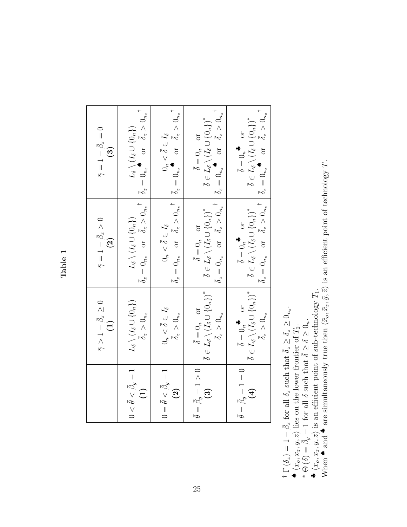Table 1

|                                                                         | $\bar{\gamma} > 1 - \bar{\beta}_z \geq 0$<br>(1)                               | $\bar{\gamma}=1-\bar{\beta}_z>0$<br>$\Omega$ | $\bar{\gamma}=1-\bar{\beta}_z=0$<br>$(3)$                                                                                                                                                                                                                                                                                                                                                                                                                          |
|-------------------------------------------------------------------------|--------------------------------------------------------------------------------|----------------------------------------------|--------------------------------------------------------------------------------------------------------------------------------------------------------------------------------------------------------------------------------------------------------------------------------------------------------------------------------------------------------------------------------------------------------------------------------------------------------------------|
| $0<\bar{\theta}<\bar{\beta}_y-1$  <br>$\begin{pmatrix} 1 \end{pmatrix}$ | $L_{\delta}\setminus (I_{\delta}\cup \{0_{n}\})$<br>$\bar{\delta}_z > 0_{n_z}$ |                                              | $\frac{L_{\delta}\setminus (I_{\delta}\cup\{0_{n}\})}{\bar{\delta}_{z}=0_{n_{z}}}\quad \text{or}\quad \bar{\delta}_{z}>0_{n_{z}}^{\quad \  \  \, +}\left \frac{L_{\delta}\setminus (I_{\delta}\cup\{0_{n}\})}{\bar{\delta}_{z}=0_{n_{z}}}\right. \quad \text{or}\quad \bar{\delta}_{z}>0_{n_{z}}^{\quad \  \  \, +}$                                                                                                                                               |
| $0=\bar{\theta}<\bar{\beta}_y-1$<br>$\left( 2\right)$                   | $\bar{\delta}_z>0_{n_z}$<br>$0_n<\bar{\delta}\in I_{\delta}$                   | $0_n < \bar{\delta} \in I_{\delta}$ .        | $\overline{\delta}_{z} = 0_{n_{z}} \quad \text{or} \quad \overline{\delta}_{z} > 0_{n_{z}}^{\text{+}} \quad \left  \begin{array}{cc} 0_{n} < \overline{\delta} \in I_{\delta} \\ \overline{\delta}_{z} = 0_{n_{z}}^{\text{+}} & \text{or} \quad \overline{\delta}_{z} > 0_{n_{z}}^{\text{+}} \end{array} \right $                                                                                                                                                  |
|                                                                         |                                                                                |                                              | $\overline{\hat{\theta}} = \overline{\beta}_y - 1 > 0$<br>(3) $\overline{\hat{\delta}} = 0_n$<br>or $\overline{\hat{\delta}} = 0_n$<br>$\overline{\hat{\delta}} = 0_n$<br>$\overline{\hat{\delta}} = 0_n$<br>$\overline{\hat{\delta}} = 0_n$<br>$\overline{\hat{\delta}} = 0_n$<br>$\overline{\hat{\delta}} = 0_n$<br>$\overline{\hat{\delta}} = 0_n$<br>$\overline{\hat{\delta}} = 0_n$<br>$\overline{\hat{\delta}} = 0_n$<br>$\overline{\hat{\delta}} = 0_n$<br> |
|                                                                         |                                                                                |                                              | $\bar{\theta} = \bar{\beta}_y - 1 = 0$<br>$\begin{bmatrix} \bar{\theta}_y - 1 = 0 \\ 4 \end{bmatrix}$<br>$\bar{\delta} = 0_n$<br>$\sigma$ $\bar{\delta} = 0$<br>$\bar{\delta} = 0$<br>$\bar{\delta} = 0$<br>$\bar{\delta} = 0$<br>$\bar{\delta} = 0$ $\bar{\delta}_z \geq 0$<br>$\bar{\delta}_z = 0$<br>$\bar{\delta}_z = 0$<br>$\bar{\delta}_z = 0$<br>$\bar{\delta}_z = 0$<br>$\bar{\delta}_z = 0$                                                               |

- - -
- 

<sup>†</sup>  $\Gamma(\delta_z) = 1 - \bar{\beta}_z$  for all  $\delta_z$  such that  $\bar{\delta}_z \geq \delta_z \geq 0_{n_z}$ .<br>
\*  $(\bar{x}_o, \bar{x}_z, \bar{y}, \bar{z})$  lies on the lower frontier of  $T_2$ .<br>
\*  $\Theta(\delta) = \beta_y - 1$  for all  $\delta$  such that  $\bar{\delta} \geq \delta \geq 0_n$ .<br>
\*  $(\bar{x}_o, \bar{x}_z, \bar{y}, \bar$ <sup>†</sup>  $\Gamma(\delta_z) = 1 - \beta_z$  for all  $\delta_z$  such that  $\delta_z \ge \delta_z \ge 0_{n_z}$ .<br>
◆  $\langle \bar{x}_o, \bar{x}_z, \bar{y}, \bar{z} \rangle$  lies on the lower frontier of  $T_2$ .<br>
\*  $\Theta(\delta) = \beta_y - 1$  for all  $\delta$  such that  $\bar{\delta} \ge \delta \ge 0_n$ .<br>
◆  $\langle \bar{x}_o, \bar{x}_z, \bar{y}, \bar{z}$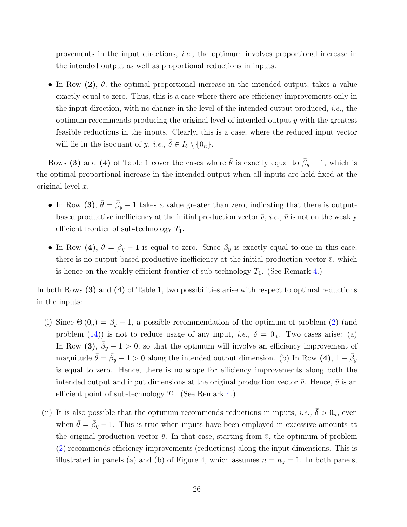provements in the input directions, i.e., the optimum involves proportional increase in the intended output as well as proportional reductions in inputs.

• In Row (2),  $\bar{\theta}$ , the optimal proportional increase in the intended output, takes a value exactly equal to zero. Thus, this is a case where there are efficiency improvements only in the input direction, with no change in the level of the intended output produced, *i.e.*, the optimum recommends producing the original level of intended output  $\bar{y}$  with the greatest feasible reductions in the inputs. Clearly, this is a case, where the reduced input vector will lie in the isoquant of  $\bar{y}$ , *i.e.*,  $\bar{\delta} \in I_{\delta} \setminus \{0_n\}.$ 

Rows (3) and (4) of Table 1 cover the cases where  $\bar{\theta}$  is exactly equal to  $\bar{\beta}_y - 1$ , which is the optimal proportional increase in the intended output when all inputs are held fixed at the original level  $\bar{x}$ .

- In Row (3),  $\bar{\theta} = \bar{\beta}_y 1$  takes a value greater than zero, indicating that there is outputbased productive inefficiency at the initial production vector  $\bar{v}$ , *i.e.*,  $\bar{v}$  is not on the weakly efficient frontier of sub-technology  $T_1$ .
- In Row (4),  $\bar{\theta} = \bar{\beta}_y 1$  is equal to zero. Since  $\bar{\beta}_y$  is exactly equal to one in this case, there is no output-based productive inefficiency at the initial production vector  $\bar{v}$ , which is hence on the weakly efficient frontier of sub-technology  $T_1$ . (See Remark [4.](#page-15-0))

In both Rows (3) and (4) of Table 1, two possibilities arise with respect to optimal reductions in the inputs:

- (i) Since  $\Theta(0_n) = \bar{\beta}_y 1$ , a possible recommendation of the optimum of problem [\(2\)](#page-12-0) (and problem [\(14\)](#page-22-0)) is not to reduce usage of any input, *i.e.*,  $\overline{\delta} = 0_n$ . Two cases arise: (a) In Row (3),  $\bar{\beta}_y - 1 > 0$ , so that the optimum will involve an efficiency improvement of magnitude  $\bar{\theta} = \bar{\beta}_y - 1 > 0$  along the intended output dimension. (b) In Row (4),  $1 - \bar{\beta}_y$ is equal to zero. Hence, there is no scope for efficiency improvements along both the intended output and input dimensions at the original production vector  $\bar{v}$ . Hence,  $\bar{v}$  is an efficient point of sub-technology  $T_1$ . (See Remark [4.](#page-15-0))
- (ii) It is also possible that the optimum recommends reductions in inputs, *i.e.*,  $\bar{\delta} > 0_n$ , even when  $\bar{\theta} = \bar{\beta}_y - 1$ . This is true when inputs have been employed in excessive amounts at the original production vector  $\bar{v}$ . In that case, starting from  $\bar{v}$ , the optimum of problem [\(2\)](#page-12-0) recommends efficiency improvements (reductions) along the input dimensions. This is illustrated in panels (a) and (b) of Figure 4, which assumes  $n = n<sub>z</sub> = 1$ . In both panels,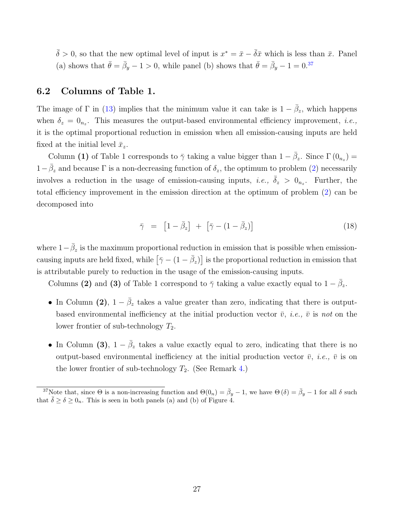$\bar{\delta} > 0$ , so that the new optimal level of input is  $x^* = \bar{x} - \bar{\delta}\bar{x}$  which is less than  $\bar{x}$ . Panel (a) shows that  $\bar{\theta} = \bar{\beta}_y - 1 > 0$ , while panel (b) shows that  $\bar{\theta} = \bar{\beta}_y - 1 = 0^{37}$  $\bar{\theta} = \bar{\beta}_y - 1 = 0^{37}$  $\bar{\theta} = \bar{\beta}_y - 1 = 0^{37}$ 

#### <span id="page-27-1"></span>6.2 Columns of Table 1.

The image of  $\Gamma$  in [\(13\)](#page-20-0) implies that the minimum value it can take is  $1 - \bar{\beta}_z$ , which happens when  $\delta_z = 0_{n_z}$ . This measures the output-based environmental efficiency improvement, *i.e.*, it is the optimal proportional reduction in emission when all emission-causing inputs are held fixed at the initial level  $\bar{x}_z$ .

Column (1) of Table 1 corresponds to  $\bar{\gamma}$  taking a value bigger than  $1 - \bar{\beta}_z$ . Since  $\Gamma(0_{n_z}) =$  $1-\bar{\beta}_z$  and because  $\Gamma$  is a non-decreasing function of  $\delta_z$ , the optimum to problem [\(2\)](#page-12-0) necessarily involves a reduction in the usage of emission-causing inputs, *i.e.*,  $\bar{\delta}_z > 0_{n_z}$ . Further, the total efficiency improvement in the emission direction at the optimum of problem [\(2\)](#page-12-0) can be decomposed into

<span id="page-27-0"></span>
$$
\bar{\gamma} = \left[1 - \bar{\beta}_z\right] + \left[\bar{\gamma} - (1 - \bar{\beta}_z)\right] \tag{18}
$$

where  $1-\bar{\beta}_z$  is the maximum proportional reduction in emission that is possible when emissioncausing inputs are held fixed, while  $[\bar{\gamma} - (1 - \bar{\beta}_z)]$  is the proportional reduction in emission that is attributable purely to reduction in the usage of the emission-causing inputs.

Columns (2) and (3) of Table 1 correspond to  $\bar{\gamma}$  taking a value exactly equal to  $1 - \bar{\beta}_z$ .

- In Column (2),  $1 \bar{\beta}_z$  takes a value greater than zero, indicating that there is outputbased environmental inefficiency at the initial production vector  $\bar{v}$ , *i.e.*,  $\bar{v}$  is not on the lower frontier of sub-technology  $T_2$ .
- In Column (3),  $1 \bar{\beta}_z$  takes a value exactly equal to zero, indicating that there is no output-based environmental inefficiency at the initial production vector  $\bar{v}$ , *i.e.*,  $\bar{v}$  is on the lower frontier of sub-technology  $T_2$ . (See Remark [4.](#page-15-0))

<sup>&</sup>lt;sup>37</sup>Note that, since  $\Theta$  is a non-increasing function and  $\Theta(0_n) = \bar{\beta}_y - 1$ , we have  $\Theta(\delta) = \bar{\beta}_y - 1$  for all  $\delta$  such that  $\overline{\delta} \geq \delta \geq 0_n$ . This is seen in both panels (a) and (b) of Figure 4.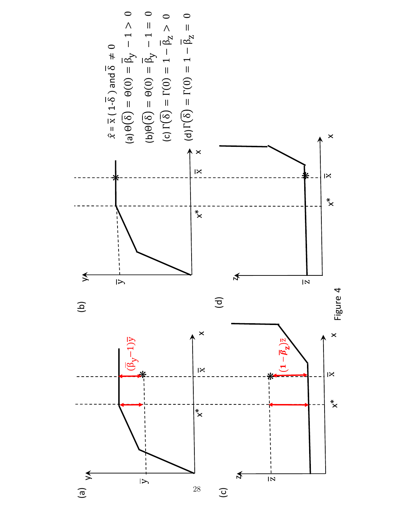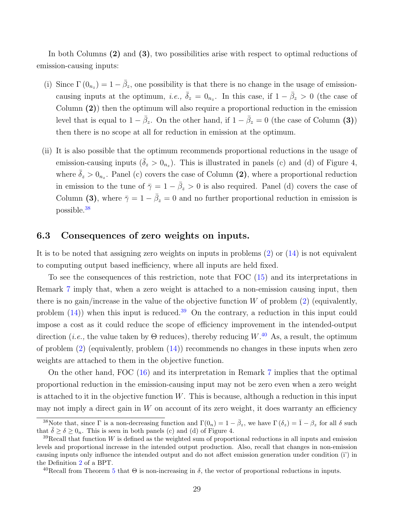In both Columns (2) and (3), two possibilities arise with respect to optimal reductions of emission-causing inputs:

- (i) Since  $\Gamma(0_{n_z}) = 1 \bar{\beta}_z$ , one possibility is that there is no change in the usage of emissioncausing inputs at the optimum, *i.e.*,  $\bar{\delta}_z = 0_{n_z}$ . In this case, if  $1 - \bar{\beta}_z > 0$  (the case of Column (2)) then the optimum will also require a proportional reduction in the emission level that is equal to  $1 - \bar{\beta}_z$ . On the other hand, if  $1 - \bar{\beta}_z = 0$  (the case of Column (3)) then there is no scope at all for reduction in emission at the optimum.
- (ii) It is also possible that the optimum recommends proportional reductions in the usage of emission-causing inputs  $(\bar{\delta}_z > 0_{n_z})$ . This is illustrated in panels (c) and (d) of Figure 4, where  $\bar{\delta}_z > 0_{n_z}$ . Panel (c) covers the case of Column (2), where a proportional reduction in emission to the tune of  $\bar{\gamma} = 1 - \bar{\beta}_z > 0$  is also required. Panel (d) covers the case of Column (3), where  $\bar{\gamma} = 1 - \bar{\beta}_z = 0$  and no further proportional reduction in emission is possible.[38](#page-0-0)

#### <span id="page-29-0"></span>6.3 Consequences of zero weights on inputs.

It is to be noted that assigning zero weights on inputs in problems [\(2\)](#page-12-0) or [\(14\)](#page-22-0) is not equivalent to computing output based inefficiency, where all inputs are held fixed.

To see the consequences of this restriction, note that FOC [\(15\)](#page-22-1) and its interpretations in Remark [7](#page-23-1) imply that, when a zero weight is attached to a non-emission causing input, then there is no gain/increase in the value of the objective function  $W$  of problem  $(2)$  (equivalently, problem  $(14)$ ) when this input is reduced.<sup>[39](#page-0-0)</sup> On the contrary, a reduction in this input could impose a cost as it could reduce the scope of efficiency improvement in the intended-output direction (*i.e.*, the value taken by  $\Theta$  reduces), thereby reducing  $W^{40}$  $W^{40}$  $W^{40}$  As, a result, the optimum of problem  $(2)$  (equivalently, problem  $(14)$ ) recommends no changes in these inputs when zero weights are attached to them in the objective function.

On the other hand, FOC [\(16\)](#page-22-2) and its interpretation in Remark [7](#page-23-1) implies that the optimal proportional reduction in the emission-causing input may not be zero even when a zero weight is attached to it in the objective function  $W$ . This is because, although a reduction in this input may not imply a direct gain in  $W$  on account of its zero weight, it does warranty an efficiency

<sup>&</sup>lt;sup>38</sup>Note that, since  $\Gamma$  is a non-decreasing function and  $\Gamma(0_n) = 1 - \bar{\beta}_z$ , we have  $\Gamma(\delta_z) = \bar{1} - \beta_z$  for all  $\delta$  such that  $\bar{\delta} \geq \delta \geq 0_n$ . This is seen in both panels (c) and (d) of Figure 4.

 $39$ Recall that function W is defined as the weighted sum of proportional reductions in all inputs and emission levels and proportional increase in the intended output production. Also, recall that changes in non-emission causing inputs only influence the intended output and do not affect emission generation under condition (i') in the Definition [2](#page-9-0) of a BPT.

<sup>&</sup>lt;sup>40</sup>Recall from Theorem [5](#page-16-0) that  $\Theta$  is non-increasing in  $\delta$ , the vector of proportional reductions in inputs.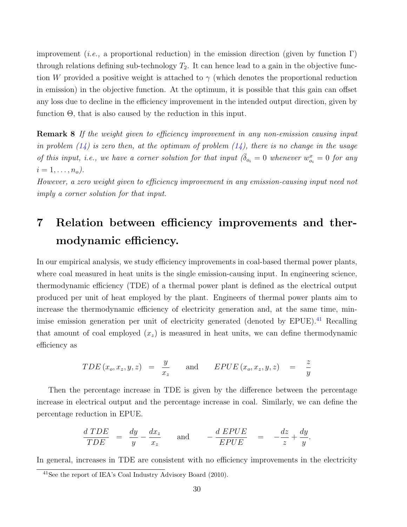improvement (*i.e.*, a proportional reduction) in the emission direction (given by function  $\Gamma$ ) through relations defining sub-technology  $T_2$ . It can hence lead to a gain in the objective function W provided a positive weight is attached to  $\gamma$  (which denotes the proportional reduction in emission) in the objective function. At the optimum, it is possible that this gain can offset any loss due to decline in the efficiency improvement in the intended output direction, given by function  $\Theta$ , that is also caused by the reduction in this input.

<span id="page-30-0"></span>**Remark 8** If the weight given to efficiency improvement in any non-emission causing input in problem  $(14)$  is zero then, at the optimum of problem  $(14)$ , there is no change in the usage of this input, i.e., we have a corner solution for that input  $(\bar{\delta}_{o_i} = 0$  whenever  $w_{o_i}^x = 0$  for any  $i = 1, \ldots, n_o$ .

However, a zero weight given to efficiency improvement in any emission-causing input need not imply a corner solution for that input.

## 7 Relation between efficiency improvements and thermodynamic efficiency.

In our empirical analysis, we study efficiency improvements in coal-based thermal power plants, where coal measured in heat units is the single emission-causing input. In engineering science, thermodynamic efficiency (TDE) of a thermal power plant is defined as the electrical output produced per unit of heat employed by the plant. Engineers of thermal power plants aim to increase the thermodynamic efficiency of electricity generation and, at the same time, min-imise emission generation per unit of electricity generated (denoted by EPUE).<sup>[41](#page-0-0)</sup> Recalling that amount of coal employed  $(x<sub>z</sub>)$  is measured in heat units, we can define thermodynamic efficiency as

$$
TDE(x_o, x_z, y, z) = \frac{y}{x_z} \quad \text{and} \quad EPUE(x_o, x_z, y, z) = \frac{z}{y}
$$

Then the percentage increase in TDE is given by the difference between the percentage increase in electrical output and the percentage increase in coal. Similarly, we can define the percentage reduction in EPUE.

$$
\frac{d \; TDE}{TDE} \;\; = \;\; \frac{dy}{y} - \frac{dx_z}{x_z} \qquad \text{and} \qquad -\frac{d \; EPUE}{EPUE} \quad = \quad -\frac{dz}{z} + \frac{dy}{y}.
$$

In general, increases in TDE are consistent with no efficiency improvements in the electricity

 $41$ See the report of IEA's Coal Industry Advisory Board (2010).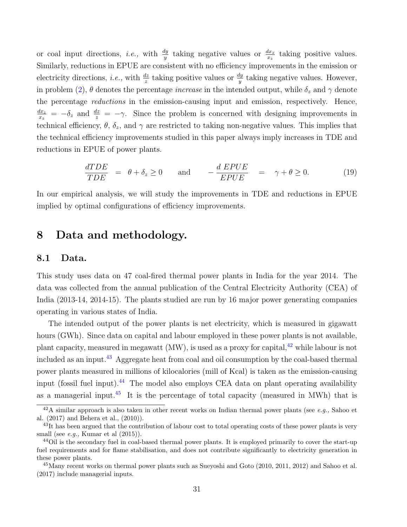or coal input directions, *i.e.*, with  $\frac{dy}{y}$  taking negative values or  $\frac{dx}{x_z}$  taking positive values. Similarly, reductions in EPUE are consistent with no efficiency improvements in the emission or electricity directions, *i.e.*, with  $\frac{dz}{z}$  taking positive values or  $\frac{dy}{y}$  taking negative values. However, in problem [\(2\)](#page-12-0),  $\theta$  denotes the percentage *increase* in the intended output, while  $\delta_z$  and  $\gamma$  denote the percentage reductions in the emission-causing input and emission, respectively. Hence,  $dx_z$  $\frac{dx_z}{dx_z} = -\delta_z$  and  $\frac{dz}{z} = -\gamma$ . Since the problem is concerned with designing improvements in technical efficiency,  $\theta$ ,  $\delta_z$ , and  $\gamma$  are restricted to taking non-negative values. This implies that the technical efficiency improvements studied in this paper always imply increases in TDE and reductions in EPUE of power plants.

<span id="page-31-0"></span>
$$
\frac{dTDE}{TDE} = \theta + \delta_z \ge 0 \quad \text{and} \quad -\frac{d EPUE}{EPUE} = \gamma + \theta \ge 0. \tag{19}
$$

In our empirical analysis, we will study the improvements in TDE and reductions in EPUE implied by optimal configurations of efficiency improvements.

## 8 Data and methodology.

#### 8.1 Data.

This study uses data on 47 coal-fired thermal power plants in India for the year 2014. The data was collected from the annual publication of the Central Electricity Authority (CEA) of India (2013-14, 2014-15). The plants studied are run by 16 major power generating companies operating in various states of India.

The intended output of the power plants is net electricity, which is measured in gigawatt hours (GWh). Since data on capital and labour employed in these power plants is not available, plant capacity, measured in megawatt  $(MW)$ , is used as a proxy for capital,  $42$  while labour is not included as an input.<sup>[43](#page-0-0)</sup> Aggregate heat from coal and oil consumption by the coal-based thermal power plants measured in millions of kilocalories (mill of Kcal) is taken as the emission-causing input (fossil fuel input).<sup>[44](#page-0-0)</sup> The model also employs CEA data on plant operating availability as a managerial input.<sup>[45](#page-0-0)</sup> It is the percentage of total capacity (measured in MWh) that is

 $^{42}$ A similar approach is also taken in other recent works on Indian thermal power plants (see e.g., Sahoo et al. (2017) and Behera et al., (2010)).

 $^{43}$ It has been argued that the contribution of labour cost to total operating costs of these power plants is very small (see  $e.g.,$  Kumar et al  $(2015)$ ).

<sup>44</sup>Oil is the secondary fuel in coal-based thermal power plants. It is employed primarily to cover the start-up fuel requirements and for flame stabilisation, and does not contribute significantly to electricity generation in these power plants.

<sup>&</sup>lt;sup>45</sup>Many recent works on thermal power plants such as Sueyoshi and Goto (2010, 2011, 2012) and Sahoo et al. (2017) include managerial inputs.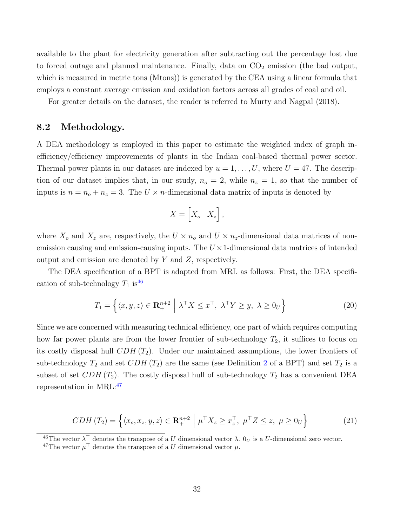available to the plant for electricity generation after subtracting out the percentage lost due to forced outage and planned maintenance. Finally, data on  $CO<sub>2</sub>$  emission (the bad output, which is measured in metric tons (Mtons)) is generated by the CEA using a linear formula that employs a constant average emission and oxidation factors across all grades of coal and oil.

For greater details on the dataset, the reader is referred to Murty and Nagpal (2018).

#### 8.2 Methodology.

A DEA methodology is employed in this paper to estimate the weighted index of graph inefficiency/efficiency improvements of plants in the Indian coal-based thermal power sector. Thermal power plants in our dataset are indexed by  $u = 1, \ldots, U$ , where  $U = 47$ . The description of our dataset implies that, in our study,  $n_o = 2$ , while  $n_z = 1$ , so that the number of inputs is  $n = n_o + n_z = 3$ . The  $U \times n$ -dimensional data matrix of inputs is denoted by

$$
X = \begin{bmatrix} X_o & X_z \end{bmatrix},
$$

where  $X_o$  and  $X_z$  are, respectively, the  $U \times n_o$  and  $U \times n_z$ -dimensional data matrices of nonemission causing and emission-causing inputs. The  $U \times 1$ -dimensional data matrices of intended output and emission are denoted by Y and Z, respectively.

The DEA specification of a BPT is adapted from MRL as follows: First, the DEA specification of sub-technology  $T_1$  is<sup>[46](#page-0-0)</sup>

$$
T_1 = \left\{ \langle x, y, z \rangle \in \mathbf{R}^{n+2}_+ \; \middle| \; \lambda^\top X \le x^\top, \; \lambda^\top Y \ge y, \; \lambda \ge 0_U \right\} \tag{20}
$$

Since we are concerned with measuring technical efficiency, one part of which requires computing how far power plants are from the lower frontier of sub-technology  $T_2$ , it suffices to focus on its costly disposal hull  $CDH(T_2)$ . Under our maintained assumptions, the lower frontiers of sub-technology  $T_2$  $T_2$  and set  $CDH(T_2)$  are the same (see Definition 2 of a BPT) and set  $T_2$  is a subset of set  $CDH(T_2)$ . The costly disposal hull of sub-technology  $T_2$  has a convenient DEA representation in MRL:[47](#page-0-0)

$$
CDH(T_2) = \left\{ \langle x_o, x_z, y, z \rangle \in \mathbf{R}^{n+2}_+ \middle| \mu^\top X_z \ge x_z^\top, \mu^\top Z \le z, \mu \ge 0_U \right\}
$$
 (21)

<sup>46</sup>The vector  $\lambda^{\top}$  denotes the transpose of a U dimensional vector  $\lambda$ .  $0_U$  is a U-dimensional zero vector.

<sup>&</sup>lt;sup>47</sup>The vector  $\mu^{\top}$  denotes the transpose of a U dimensional vector  $\mu$ .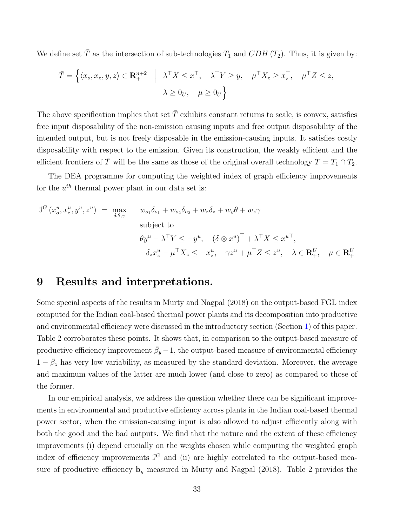We define set  $\overline{T}$  as the intersection of sub-technologies  $T_1$  and  $CDH$  ( $T_2$ ). Thus, it is given by:

$$
\overline{T} = \left\{ \langle x_o, x_z, y, z \rangle \in \mathbf{R}^{n+2}_+ \middle| \lambda^\top X \leq x^\top, \lambda^\top Y \geq y, \mu^\top X_z \geq x_z^\top, \mu^\top Z \leq z, \\ \lambda \geq 0_U, \mu \geq 0_U \right\}
$$

The above specification implies that set  $\bar{T}$  exhibits constant returns to scale, is convex, satisfies free input disposability of the non-emission causing inputs and free output disposability of the intended output, but is not freely disposable in the emission-causing inputs. It satisfies costly disposability with respect to the emission. Given its construction, the weakly efficient and the efficient frontiers of  $\overline{T}$  will be the same as those of the original overall technology  $T = T_1 \cap T_2$ .

The DEA programme for computing the weighted index of graph efficiency improvements for the  $u^{th}$  thermal power plant in our data set is:

$$
J^{G}(x_{o}^{u}, x_{z}^{u}, y^{u}, z^{u}) = \max_{\delta, \theta, \gamma} \quad w_{o_{1}} \delta_{o_{1}} + w_{o_{2}} \delta_{o_{2}} + w_{z} \delta_{z} + w_{y} \theta + w_{z} \gamma
$$
\nsubject to\n
$$
\theta y^{u} - \lambda^{\top} Y \leq -y^{u}, \quad (\delta \otimes x^{u})^{\top} + \lambda^{\top} X \leq x^{u \top},
$$
\n
$$
-\delta_{z} x_{z}^{u} - \mu^{\top} X_{z} \leq -x_{z}^{u}, \quad \gamma z^{u} + \mu^{\top} Z \leq z^{u}, \quad \lambda \in \mathbf{R}_{+}^{U}, \quad \mu \in \mathbf{R}_{+}^{U}
$$

### <span id="page-33-0"></span>9 Results and interpretations.

Some special aspects of the results in Murty and Nagpal (2018) on the output-based FGL index computed for the Indian coal-based thermal power plants and its decomposition into productive and environmental efficiency were discussed in the introductory section (Section [1\)](#page-2-0) of this paper. Table 2 corroborates these points. It shows that, in comparison to the output-based measure of productive efficiency improvement  $\bar{\beta}_y - 1$ , the output-based measure of environmental efficiency  $1 - \bar{\beta}_z$  has very low variability, as measured by the standard deviation. Moreover, the average and maximum values of the latter are much lower (and close to zero) as compared to those of the former.

In our empirical analysis, we address the question whether there can be significant improvements in environmental and productive efficiency across plants in the Indian coal-based thermal power sector, when the emission-causing input is also allowed to adjust efficiently along with both the good and the bad outputs. We find that the nature and the extent of these efficiency improvements (i) depend crucially on the weights chosen while computing the weighted graph index of efficiency improvements  $J<sup>G</sup>$  and (ii) are highly correlated to the output-based measure of productive efficiency  $\mathbf{b}_y$  measured in Murty and Nagpal (2018). Table 2 provides the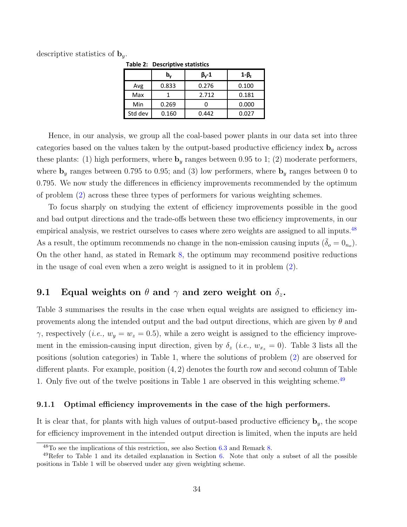descriptive statistics of  $\mathbf{b}_y$ .

|         | Table 2: Descriptive statistics |                    |       |
|---------|---------------------------------|--------------------|-------|
|         | b,                              | $\beta_{\rm V}$ -1 | 1-β,  |
| Avg     | 0.833                           | 0.276              | 0.100 |
| Max     |                                 | 2.712              | 0.181 |
| Min     | 0.269                           |                    | 0.000 |
| Std dev | 0.160                           | 0.442              | 0.027 |

**Table 2: Descriptive statistics** 

Hence, in our analysis, we group all the coal-based power plants in our data set into three categories based on the values taken by the output-based productive efficiency index  $\mathbf{b}_y$  across these plants: (1) high performers, where  $\mathbf{b}_y$  ranges between 0.95 to 1; (2) moderate performers, where  $\mathbf{b}_y$  ranges between 0.795 to 0.95; and (3) low performers, where  $\mathbf{b}_y$  ranges between 0 to 0.795. We now study the differences in efficiency improvements recommended by the optimum of problem [\(2\)](#page-12-0) across these three types of performers for various weighting schemes.

To focus sharply on studying the extent of efficiency improvements possible in the good and bad output directions and the trade-offs between these two efficiency improvements, in our empirical analysis, we restrict ourselves to cases where zero weights are assigned to all inputs.<sup>[48](#page-0-0)</sup> As a result, the optimum recommends no change in the non-emission causing inputs  $(\bar{\delta}_o = 0_{n_o})$ . On the other hand, as stated in Remark [8,](#page-30-0) the optimum may recommend positive reductions in the usage of coal even when a zero weight is assigned to it in problem [\(2\)](#page-12-0).

### <span id="page-34-1"></span>9.1 Equal weights on  $\theta$  and  $\gamma$  and zero weight on  $\delta_z$ .

Table 3 summarises the results in the case when equal weights are assigned to efficiency improvements along the intended output and the bad output directions, which are given by  $\theta$  and  $\gamma$ , respectively (*i.e.*,  $w_y = w_z = 0.5$ ), while a zero weight is assigned to the efficiency improvement in the emission-causing input direction, given by  $\delta_z$  (*i.e.*,  $w_{x_z} = 0$ ). Table 3 lists all the positions (solution categories) in Table 1, where the solutions of problem [\(2\)](#page-12-0) are observed for different plants. For example, position (4, 2) denotes the fourth row and second column of Table 1. Only five out of the twelve positions in Table 1 are observed in this weighting scheme.<sup>[49](#page-0-0)</sup>

#### <span id="page-34-0"></span>9.1.1 Optimal efficiency improvements in the case of the high performers.

It is clear that, for plants with high values of output-based productive efficiency  $\mathbf{b}_y$ , the scope for efficiency improvement in the intended output direction is limited, when the inputs are held

 $48$ To see the implications of this restriction, see also Section [6.3](#page-29-0) and Remark [8.](#page-30-0)

 $49$ Refer to Table 1 and its detailed explanation in Section [6.](#page-24-0) Note that only a subset of all the possible positions in Table 1 will be observed under any given weighting scheme.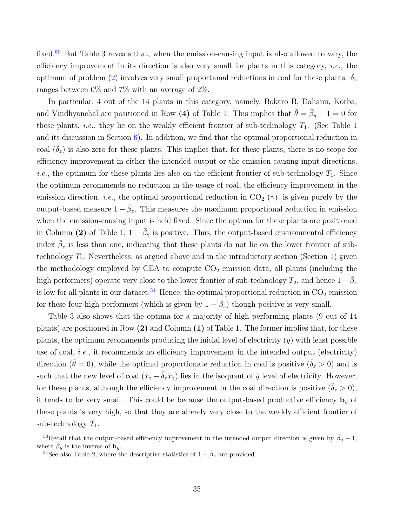fixed.<sup>[50](#page-0-0)</sup> But Table 3 reveals that, when the emission-causing input is also allowed to vary, the efficiency improvement in its direction is also very small for plants in this category, *i.e.*, the optimum of problem [\(2\)](#page-12-0) involves very small proportional reductions in coal for these plants:  $\delta_z$ ranges between 0% and 7% with an average of 2%.

In particular, 4 out of the 14 plants in this category, namely, Bokaro B, Dahanu, Korba, and Vindhyanchal are positioned in Row (4) of Table 1. This implies that  $\bar{\theta} = \bar{\beta}_y - 1 = 0$  for these plants, *i.e.*, they lie on the weakly efficient frontier of sub-technology  $T_1$ . (See Table 1) and its discussion in Section  $6$ ). In addition, we find that the optimal proportional reduction in coal  $(\delta_z)$  is also zero for these plants. This implies that, for these plants, there is no scope for efficiency improvement in either the intended output or the emission-causing input directions, *i.e.*, the optimum for these plants lies also on the efficient frontier of sub-technology  $T_1$ . Since the optimum recommends no reduction in the usage of coal, the efficiency improvement in the emission direction, *i.e.*, the optimal proportional reduction in  $CO<sub>2</sub>(\bar{\gamma})$ , is given purely by the output-based measure  $1 - \bar{\beta}_z$ . This measures the maximum proportional reduction in emission when the emission-causing input is held fixed. Since the optima for these plants are positioned in Column (2) of Table 1,  $1 - \bar{\beta}_z$  is positive. Thus, the output-based environmental efficiency index  $\bar{\beta}_z$  is less than one, indicating that these plants do not lie on the lower frontier of subtechnology  $T_2$ . Nevertheless, as argued above and in the introductory section (Section [1\)](#page-2-0) given the methodology employed by CEA to compute  $CO<sub>2</sub>$  emission data, all plants (including the high performers) operate very close to the lower frontier of sub-technology  $T_2$ , and hence  $1-\bar{\beta}_z$ is low for all plants in our dataset.<sup>[51](#page-0-0)</sup> Hence, the optimal proportional reduction in  $CO<sub>2</sub>$  emission for these four high performers (which is given by  $1 - \bar{\beta}_z$ ) though positive is very small.

Table 3 also shows that the optima for a majority of high performing plants (9 out of 14 plants) are positioned in Row  $(2)$  and Column  $(1)$  of Table 1. The former implies that, for these plants, the optimum recommends producing the initial level of electricity  $(\bar{y})$  with least possible use of coal, i.e., it recommends no efficiency improvement in the intended output (electricity) direction ( $\bar{\theta} = 0$ ), while the optimal proportionate reduction in coal is positive ( $\bar{\delta}_z > 0$ ) and is such that the new level of coal  $(\bar{x}_z - \bar{\delta}_z \bar{x}_z)$  lies in the isoquant of  $\bar{y}$  level of electricity. However, for these plants, although the efficiency improvement in the coal direction is positive  $(\bar{\delta}_z > 0)$ , it tends to be very small. This could be because the output-based productive efficiency  $\mathbf{b}_y$  of these plants is very high, so that they are already very close to the weakly efficient frontier of sub-technology  $T_1$ .

<sup>&</sup>lt;sup>50</sup>Recall that the output-based efficiency improvement in the intended output direction is given by  $\bar{\beta}_y - 1$ , where  $\bar{\beta}_y$  is the inverse of  $\mathbf{b}_y$ .

<sup>&</sup>lt;sup>51</sup>See also Table 2, where the descriptive statistics of  $1 - \bar{\beta}_z$  are provided.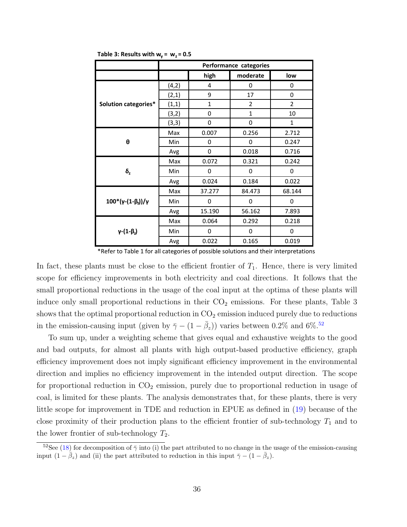|                                    |        |             | Performance categories |                |  |
|------------------------------------|--------|-------------|------------------------|----------------|--|
|                                    |        | high        | moderate               | low            |  |
|                                    | (4, 2) | 4           | 0                      | 0              |  |
|                                    | (2,1)  | 9           | 17                     | 0              |  |
| Solution categories*               | (1,1)  | $\mathbf 1$ | $\overline{2}$         | $\overline{2}$ |  |
|                                    | (3,2)  | 0           | $\mathbf{1}$           | 10             |  |
|                                    | (3,3)  | 0           | 0                      | $\mathbf{1}$   |  |
|                                    | Max    | 0.007       | 0.256                  | 2.712          |  |
| θ                                  | Min    | 0           | 0                      | 0.247          |  |
|                                    | Avg    | 0           | 0.018                  | 0.716          |  |
|                                    | Max    | 0.072       | 0.321                  | 0.242          |  |
| $\delta_{z}$                       | Min    | 0           | 0                      | 0              |  |
|                                    | Avg    | 0.024       | 0.184                  | 0.022          |  |
|                                    | Max    | 37.277      | 84.473                 | 68.144         |  |
| $100^*(\gamma-(1-\beta)) / \gamma$ | Min    | 0           | $\Omega$               | 0              |  |
|                                    | Avg    | 15.190      | 56.162                 | 7.893          |  |
|                                    | Max    | 0.064       | 0.292                  | 0.218          |  |
| $\gamma$ - $(1-\beta_2)$           | Min    | 0           | 0                      | 0              |  |
|                                    | Avg    | 0.022       | 0.165                  | 0.019          |  |

**Table 3: Results with**  $w_y$  **=**  $w_z$  **= 0.5** 

\*Refer to Table 1 for all categories of possible solutions and their interpretations

In fact, these plants must be close to the efficient frontier of  $T_1$ . Hence, there is very limited scope for efficiency improvements in both electricity and coal directions. It follows that the small proportional reductions in the usage of the coal input at the optima of these plants will induce only small proportional reductions in their  $CO<sub>2</sub>$  emissions. For these plants, Table 3 shows that the optimal proportional reduction in  $CO<sub>2</sub>$  emission induced purely due to reductions in the emission-causing input (given by  $\bar{\gamma} - (1 - \bar{\beta}_z)$ ) varies between 0.2% and 6%.<sup>[52](#page-0-0)</sup>

To sum up, under a weighting scheme that gives equal and exhaustive weights to the good and bad outputs, for almost all plants with high output-based productive efficiency, graph efficiency improvement does not imply significant efficiency improvement in the environmental direction and implies no efficiency improvement in the intended output direction. The scope for proportional reduction in  $CO<sub>2</sub>$  emission, purely due to proportional reduction in usage of coal, is limited for these plants. The analysis demonstrates that, for these plants, there is very little scope for improvement in TDE and reduction in EPUE as defined in [\(19\)](#page-31-0) because of the close proximity of their production plans to the efficient frontier of sub-technology  $T_1$  and to the lower frontier of sub-technology  $T_2$ .

<sup>&</sup>lt;sup>52</sup>See [\(18\)](#page-27-0) for decomposition of  $\bar{\gamma}$  into (i) the part attributed to no change in the usage of the emission-causing input  $(1 - \overline{\beta}_z)$  and (ii) the part attributed to reduction in this input  $\overline{\gamma} - (1 - \overline{\beta}_z)$ .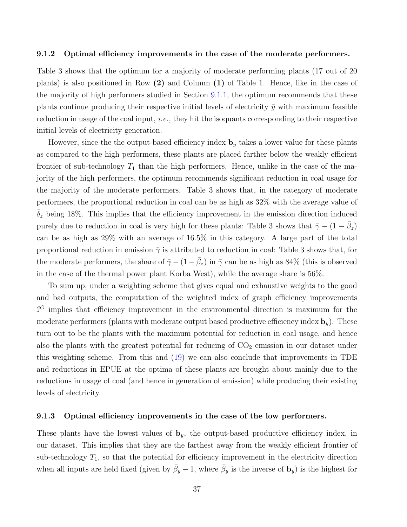#### <span id="page-37-0"></span>9.1.2 Optimal efficiency improvements in the case of the moderate performers.

Table 3 shows that the optimum for a majority of moderate performing plants (17 out of 20 plants) is also positioned in Row (2) and Column (1) of Table 1. Hence, like in the case of the majority of high performers studied in Section [9.1.1,](#page-34-0) the optimum recommends that these plants continue producing their respective initial levels of electricity  $\bar{y}$  with maximum feasible reduction in usage of the coal input, i.e., they hit the isoquants corresponding to their respective initial levels of electricity generation.

However, since the the output-based efficiency index  $\mathbf{b}_y$  takes a lower value for these plants as compared to the high performers, these plants are placed farther below the weakly efficient frontier of sub-technology  $T_1$  than the high performers. Hence, unlike in the case of the majority of the high performers, the optimum recommends significant reduction in coal usage for the majority of the moderate performers. Table 3 shows that, in the category of moderate performers, the proportional reduction in coal can be as high as 32% with the average value of  $\delta_z$  being 18%. This implies that the efficiency improvement in the emission direction induced purely due to reduction in coal is very high for these plants: Table 3 shows that  $\bar{\gamma} - (1 - \bar{\beta}_z)$ can be as high as 29% with an average of 16.5% in this category. A large part of the total proportional reduction in emission  $\bar{\gamma}$  is attributed to reduction in coal: Table 3 shows that, for the moderate performers, the share of  $\bar{\gamma} - (1 - \bar{\beta}_z)$  in  $\bar{\gamma}$  can be as high as 84% (this is observed in the case of the thermal power plant Korba West), while the average share is 56%.

To sum up, under a weighting scheme that gives equal and exhaustive weights to the good and bad outputs, the computation of the weighted index of graph efficiency improvements  $\mathcal{I}^G$  implies that efficiency improvement in the environmental direction is maximum for the moderate performers (plants with moderate output based productive efficiency index  $\mathbf{b}_y$ ). These turn out to be the plants with the maximum potential for reduction in coal usage, and hence also the plants with the greatest potential for reducing of  $CO<sub>2</sub>$  emission in our dataset under this weighting scheme. From this and [\(19\)](#page-31-0) we can also conclude that improvements in TDE and reductions in EPUE at the optima of these plants are brought about mainly due to the reductions in usage of coal (and hence in generation of emission) while producing their existing levels of electricity.

#### <span id="page-37-1"></span>9.1.3 Optimal efficiency improvements in the case of the low performers.

These plants have the lowest values of  $\mathbf{b}_y$ , the output-based productive efficiency index, in our dataset. This implies that they are the farthest away from the weakly efficient frontier of sub-technology  $T_1$ , so that the potential for efficiency improvement in the electricity direction when all inputs are held fixed (given by  $\bar{\beta}_y - 1$ , where  $\bar{\beta}_y$  is the inverse of  $\mathbf{b}_y$ ) is the highest for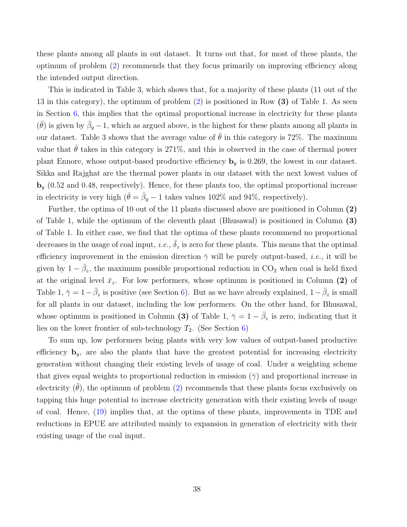these plants among all plants in out dataset. It turns out that, for most of these plants, the optimum of problem [\(2\)](#page-12-0) recommends that they focus primarily on improving efficiency along the intended output direction.

This is indicated in Table 3, which shows that, for a majority of these plants (11 out of the 13 in this category), the optimum of problem [\(2\)](#page-12-0) is positioned in Row (3) of Table 1. As seen in Section  $6$ , this implies that the optimal proportional increase in electricity for these plants  $(\bar{\theta})$  is given by  $\bar{\beta}_y - 1$ , which as argued above, is the highest for these plants among all plants in our dataset. Table 3 shows that the average value of  $\bar{\theta}$  in this category is 72%. The maximum value that  $\hat{\theta}$  takes in this category is 271%, and this is observed in the case of thermal power plant Ennore, whose output-based productive efficiency  $\mathbf{b}_y$  is 0.269, the lowest in our dataset. Sikka and Rajghat are the thermal power plants in our dataset with the next lowest values of  **(0.52 and 0.48, respectively). Hence, for these plants too, the optimal proportional increase** in electricity is very high  $(\bar{\theta} = \bar{\beta}_y - 1)$  takes values 102% and 94%, respectively.

Further, the optima of 10 out of the 11 plants discussed above are positioned in Column (2) of Table 1, while the optimum of the eleventh plant (Bhusawal) is positioned in Column (3) of Table 1. In either case, we find that the optima of these plants recommend no proportional decreases in the usage of coal input, i.e.,  $\bar{\delta}_z$  is zero for these plants. This means that the optimal efficiency improvement in the emission direction  $\bar{\gamma}$  will be purely output-based, *i.e.*, it will be given by  $1 - \bar{\beta}_z$ , the maximum possible proportional reduction in CO<sub>2</sub> when coal is held fixed at the original level  $\bar{x}_z$ . For low performers, whose optimum is positioned in Column (2) of Table 1,  $\bar{\gamma} = 1 - \bar{\beta}_z$  is positive (see Section [6\)](#page-24-0). But as we have already explained,  $1-\bar{\beta}_z$  is small for all plants in our dataset, including the low performers. On the other hand, for Bhusawal, whose optimum is positioned in Column (3) of Table 1,  $\bar{\gamma} = 1 - \bar{\beta}_z$  is zero, indicating that it lies on the lower frontier of sub-technology  $T_2$ . (See Section [6\)](#page-24-0)

To sum up, low performers being plants with very low values of output-based productive efficiency  $\mathbf{b}_y$ , are also the plants that have the greatest potential for increasing electricity generation without changing their existing levels of usage of coal. Under a weighting scheme that gives equal weights to proportional reduction in emission ( $\bar{\gamma}$ ) and proportional increase in electricity  $(\bar{\theta})$ , the optimum of problem [\(2\)](#page-12-0) recommends that these plants focus exclusively on tapping this huge potential to increase electricity generation with their existing levels of usage of coal. Hence, [\(19\)](#page-31-0) implies that, at the optima of these plants, improvements in TDE and reductions in EPUE are attributed mainly to expansion in generation of electricity with their existing usage of the coal input.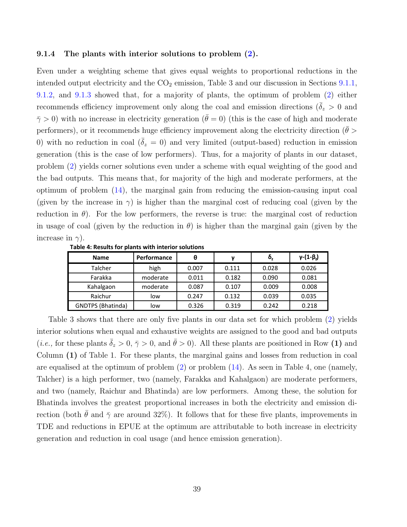#### 9.1.4 The plants with interior solutions to problem  $(2)$ .

Even under a weighting scheme that gives equal weights to proportional reductions in the intended output electricity and the  $CO<sub>2</sub>$  emission, Table 3 and our discussion in Sections [9.1.1,](#page-34-0) [9.1.2,](#page-37-0) and [9.1.3](#page-37-1) showed that, for a majority of plants, the optimum of problem [\(2\)](#page-12-0) either recommends efficiency improvement only along the coal and emission directions ( $\delta_z > 0$  and  $\bar{\gamma} > 0$ ) with no increase in electricity generation ( $\bar{\theta} = 0$ ) (this is the case of high and moderate performers), or it recommends huge efficiency improvement along the electricity direction ( $\theta >$ 0) with no reduction in coal  $(\bar{\delta}_z = 0)$  and very limited (output-based) reduction in emission generation (this is the case of low performers). Thus, for a majority of plants in our dataset, problem [\(2\)](#page-12-0) yields corner solutions even under a scheme with equal weighting of the good and the bad outputs. This means that, for majority of the high and moderate performers, at the optimum of problem  $(14)$ , the marginal gain from reducing the emission-causing input coal (given by the increase in  $\gamma$ ) is higher than the marginal cost of reducing coal (given by the reduction in  $\theta$ ). For the low performers, the reverse is true: the marginal cost of reduction in usage of coal (given by the reduction in  $\theta$ ) is higher than the marginal gain (given by the increase in  $\gamma$ ).

| <b>Name</b>              | Performance | θ     | ν     | $\delta_{\rm z}$ | $y-(1-\beta_2)$ |
|--------------------------|-------------|-------|-------|------------------|-----------------|
| Talcher                  | high        | 0.007 | 0.111 | 0.028            | 0.026           |
| Farakka                  | moderate    | 0.011 | 0.182 | 0.090            | 0.081           |
| Kahalgaon                | moderate    | 0.087 | 0.107 | 0.009            | 0.008           |
| Raichur                  | low         | 0.247 | 0.132 | 0.039            | 0.035           |
| <b>GNDTPS (Bhatinda)</b> | low         | 0.326 | 0.319 | 0.242            | 0.218           |

Table 4: Results for plants with interior solutions

Table 3 shows that there are only five plants in our data set for which problem [\(2\)](#page-12-0) yields interior solutions when equal and exhaustive weights are assigned to the good and bad outputs (*i.e.*, for these plants  $\bar{\delta}_z > 0$ ,  $\bar{\gamma} > 0$ , and  $\bar{\theta} > 0$ ). All these plants are positioned in Row (1) and Column (1) of Table 1. For these plants, the marginal gains and losses from reduction in coal are equalised at the optimum of problem [\(2\)](#page-12-0) or problem [\(14\)](#page-22-0). As seen in Table 4, one (namely, Talcher) is a high performer, two (namely, Farakka and Kahalgaon) are moderate performers, and two (namely, Raichur and Bhatinda) are low performers. Among these, the solution for Bhatinda involves the greatest proportional increases in both the electricity and emission direction (both  $\bar{\theta}$  and  $\bar{\gamma}$  are around 32%). It follows that for these five plants, improvements in TDE and reductions in EPUE at the optimum are attributable to both increase in electricity generation and reduction in coal usage (and hence emission generation).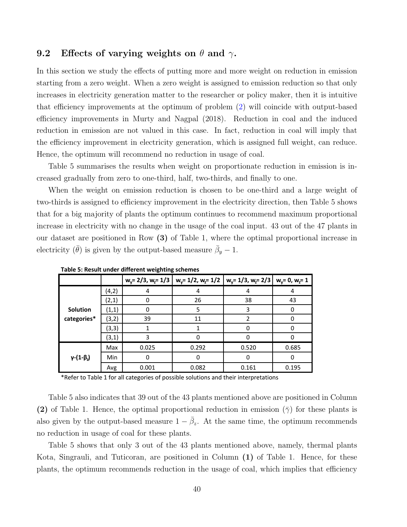#### 9.2 Effects of varying weights on  $\theta$  and  $\gamma$ .

In this section we study the effects of putting more and more weight on reduction in emission starting from a zero weight. When a zero weight is assigned to emission reduction so that only increases in electricity generation matter to the researcher or policy maker, then it is intuitive that efficiency improvements at the optimum of problem [\(2\)](#page-12-0) will coincide with output-based efficiency improvements in Murty and Nagpal (2018). Reduction in coal and the induced reduction in emission are not valued in this case. In fact, reduction in coal will imply that the efficiency improvement in electricity generation, which is assigned full weight, can reduce. Hence, the optimum will recommend no reduction in usage of coal.

Table 5 summarises the results when weight on proportionate reduction in emission is increased gradually from zero to one-third, half, two-thirds, and finally to one.

When the weight on emission reduction is chosen to be one-third and a large weight of two-thirds is assigned to efficiency improvement in the electricity direction, then Table 5 shows that for a big majority of plants the optimum continues to recommend maximum proportional increase in electricity with no change in the usage of the coal input. 43 out of the 47 plants in our dataset are positioned in Row (3) of Table 1, where the optimal proportional increase in electricity  $(\bar{\theta})$  is given by the output-based measure  $\bar{\beta}_y - 1$ .

|                          |       | - - - - - - - 0 |                                                       |                                  |              |
|--------------------------|-------|-----------------|-------------------------------------------------------|----------------------------------|--------------|
|                          |       |                 | $w_y = 2/3$ , $w_z = 1/3$   $w_y = 1/2$ , $w_z = 1/2$ | $ w_y=1/3, w_z=2/3 w_y=0, w_z=1$ |              |
|                          | (4,2) | 4               | 4                                                     | 4                                |              |
|                          | (2,1) |                 | 26                                                    | 38                               | 43           |
| <b>Solution</b>          | (1,1) | 0               | 5                                                     | 3                                | 0            |
| categories*              | (3,2) | 39              | 11                                                    | $\mathfrak z$                    | <sup>0</sup> |
|                          | (3,3) |                 |                                                       |                                  |              |
|                          | (3,1) | 3               | 0                                                     | n                                | n            |
|                          | Max   | 0.025           | 0.292                                                 | 0.520                            | 0.685        |
| $\gamma$ - $(1-\beta_2)$ | Min   | ŋ               | $\Omega$                                              | O                                | 0            |
|                          | Avg   | 0.001           | 0.082                                                 | 0.161                            | 0.195        |

**Table 5: Result under different weighting schemes**

\*Refer to Table 1 for all categories of possible solutions and their interpretations

Table 5 also indicates that 39 out of the 43 plants mentioned above are positioned in Column (2) of Table 1. Hence, the optimal proportional reduction in emission  $(\bar{\gamma})$  for these plants is also given by the output-based measure  $1 - \bar{\beta}_z$ . At the same time, the optimum recommends no reduction in usage of coal for these plants.

Table 5 shows that only 3 out of the 43 plants mentioned above, namely, thermal plants Kota, Singrauli, and Tuticoran, are positioned in Column (1) of Table 1. Hence, for these plants, the optimum recommends reduction in the usage of coal, which implies that efficiency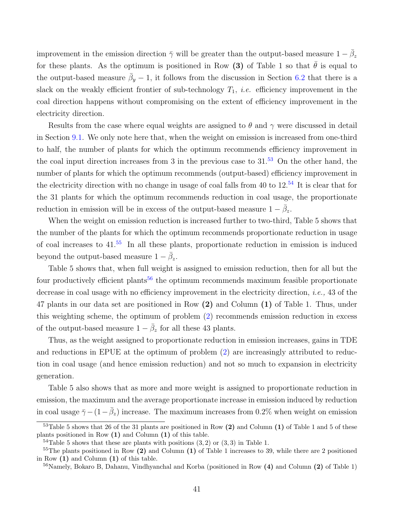improvement in the emission direction  $\bar{\gamma}$  will be greater than the output-based measure  $1 - \bar{\beta}_z$ for these plants. As the optimum is positioned in Row (3) of Table 1 so that  $\bar{\theta}$  is equal to the output-based measure  $\bar{\beta}_y - 1$ , it follows from the discussion in Section [6.2](#page-27-1) that there is a slack on the weakly efficient frontier of sub-technology  $T_1$ , *i.e.* efficiency improvement in the coal direction happens without compromising on the extent of efficiency improvement in the electricity direction.

Results from the case where equal weights are assigned to  $\theta$  and  $\gamma$  were discussed in detail in Section [9.1.](#page-34-1) We only note here that, when the weight on emission is increased from one-third to half, the number of plants for which the optimum recommends efficiency improvement in the coal input direction increases from 3 in the previous case to  $31<sup>53</sup>$  $31<sup>53</sup>$  $31<sup>53</sup>$  On the other hand, the number of plants for which the optimum recommends (output-based) efficiency improvement in the electricity direction with no change in usage of coal falls from 40 to  $12^{54}$  $12^{54}$  $12^{54}$  It is clear that for the 31 plants for which the optimum recommends reduction in coal usage, the proportionate reduction in emission will be in excess of the output-based measure  $1 - \bar{\beta}_z$ .

When the weight on emission reduction is increased further to two-third, Table 5 shows that the number of the plants for which the optimum recommends proportionate reduction in usage of coal increases to  $41<sup>.55</sup>$  $41<sup>.55</sup>$  $41<sup>.55</sup>$  In all these plants, proportionate reduction in emission is induced beyond the output-based measure  $1 - \bar{\beta}_z$ .

Table 5 shows that, when full weight is assigned to emission reduction, then for all but the four productively efficient plants<sup>[56](#page-0-0)</sup> the optimum recommends maximum feasible proportionate decrease in coal usage with no efficiency improvement in the electricity direction, *i.e.*, 43 of the 47 plants in our data set are positioned in Row (2) and Column (1) of Table 1. Thus, under this weighting scheme, the optimum of problem [\(2\)](#page-12-0) recommends emission reduction in excess of the output-based measure  $1 - \bar{\beta}_z$  for all these 43 plants.

Thus, as the weight assigned to proportionate reduction in emission increases, gains in TDE and reductions in EPUE at the optimum of problem [\(2\)](#page-12-0) are increasingly attributed to reduction in coal usage (and hence emission reduction) and not so much to expansion in electricity generation.

Table 5 also shows that as more and more weight is assigned to proportionate reduction in emission, the maximum and the average proportionate increase in emission induced by reduction in coal usage  $\bar{\gamma} - (1 - \bar{\beta}_z)$  increase. The maximum increases from 0.2% when weight on emission

 $53$ Table 5 shows that 26 of the 31 plants are positioned in Row (2) and Column (1) of Table 1 and 5 of these plants positioned in Row (1) and Column (1) of this table.

 $54$ Table 5 shows that these are plants with positions  $(3, 2)$  or  $(3, 3)$  in Table 1.

<sup>&</sup>lt;sup>55</sup>The plants positioned in Row (2) and Column (1) of Table 1 increases to 39, while there are 2 positioned in Row (1) and Column (1) of this table.

 $56$ Namely, Bokaro B, Dahanu, Vindhyanchal and Korba (positioned in Row (4) and Column (2) of Table 1)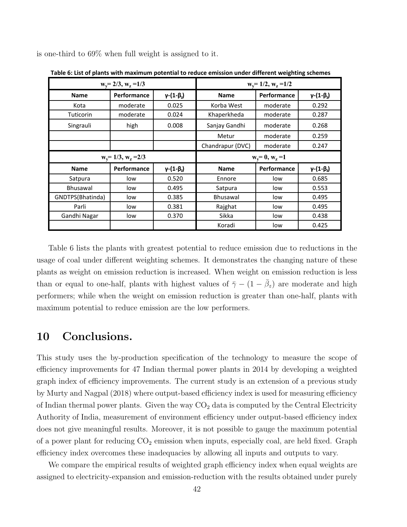|                  | $w_y = 2/3$ , $w_z = 1/3$ |                          |                    | $w_y = 1/2, w_z = 1/2$ |                          |  |  |  |
|------------------|---------------------------|--------------------------|--------------------|------------------------|--------------------------|--|--|--|
| <b>Name</b>      | <b>Performance</b>        | $\gamma$ - $(1-\beta_2)$ | <b>Name</b>        | Performance            | $\gamma$ - $(1-\beta_2)$ |  |  |  |
| Kota             | moderate                  | 0.025                    | Korba West         | moderate               | 0.292                    |  |  |  |
| <b>Tuticorin</b> | moderate                  | 0.024                    | Khaperkheda        | moderate               | 0.287                    |  |  |  |
| Singrauli        | high                      | 0.008                    | Sanjay Gandhi      | moderate               | 0.268                    |  |  |  |
|                  |                           |                          | Metur              | moderate               | 0.259                    |  |  |  |
|                  |                           |                          | Chandrapur (DVC)   | moderate               | 0.247                    |  |  |  |
|                  | $w_y = 1/3, w_z = 2/3$    |                          | $w_y = 0, w_z = 1$ |                        |                          |  |  |  |
| <b>Name</b>      | <b>Performance</b>        | $y-(1-\beta_2)$          | <b>Name</b>        | Performance            | $y-(1-\beta_2)$          |  |  |  |
| Satpura          | low                       | 0.520                    | Ennore             | low                    | 0.685                    |  |  |  |
| <b>Bhusawal</b>  | low                       | 0.495                    | Satpura            | low                    | 0.553                    |  |  |  |
| GNDTPS(Bhatinda) | low                       | 0.385                    | <b>Bhusawal</b>    | low                    | 0.495                    |  |  |  |
| Parli            | low                       | 0.381                    | Rajghat            | low                    | 0.495                    |  |  |  |
| Gandhi Nagar     | low                       | 0.370                    | Sikka              | low                    | 0.438                    |  |  |  |
|                  |                           |                          | Koradi             | low                    | 0.425                    |  |  |  |

is one-third to 69% when full weight is assigned to it.

Table 6: List of plants with maximum potential to reduce emission under different weighting schemes

Table 6 lists the plants with greatest potential to reduce emission due to reductions in the usage of coal under different weighting schemes. It demonstrates the changing nature of these plants as weight on emission reduction is increased. When weight on emission reduction is less than or equal to one-half, plants with highest values of  $\bar{\gamma} - (1 - \bar{\beta}_z)$  are moderate and high performers; while when the weight on emission reduction is greater than one-half, plants with maximum potential to reduce emission are the low performers.

### 10 Conclusions.

This study uses the by-production specification of the technology to measure the scope of efficiency improvements for 47 Indian thermal power plants in 2014 by developing a weighted graph index of efficiency improvements. The current study is an extension of a previous study by Murty and Nagpal (2018) where output-based efficiency index is used for measuring efficiency of Indian thermal power plants. Given the way  $CO<sub>2</sub>$  data is computed by the Central Electricity Authority of India, measurement of environment efficiency under output-based efficiency index does not give meaningful results. Moreover, it is not possible to gauge the maximum potential of a power plant for reducing  $CO<sub>2</sub>$  emission when inputs, especially coal, are held fixed. Graph efficiency index overcomes these inadequacies by allowing all inputs and outputs to vary.

We compare the empirical results of weighted graph efficiency index when equal weights are assigned to electricity-expansion and emission-reduction with the results obtained under purely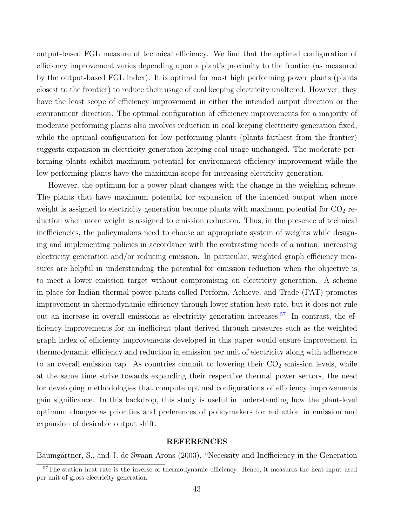output-based FGL measure of technical efficiency. We find that the optimal configuration of efficiency improvement varies depending upon a plant's proximity to the frontier (as measured by the output-based FGL index). It is optimal for most high performing power plants (plants closest to the frontier) to reduce their usage of coal keeping electricity unaltered. However, they have the least scope of efficiency improvement in either the intended output direction or the environment direction. The optimal configuration of efficiency improvements for a majority of moderate performing plants also involves reduction in coal keeping electricity generation fixed, while the optimal configuration for low performing plants (plants farthest from the frontier) suggests expansion in electricity generation keeping coal usage unchanged. The moderate performing plants exhibit maximum potential for environment efficiency improvement while the low performing plants have the maximum scope for increasing electricity generation.

However, the optimum for a power plant changes with the change in the weighing scheme. The plants that have maximum potential for expansion of the intended output when more weight is assigned to electricity generation become plants with maximum potential for  $CO<sub>2</sub>$  reduction when more weight is assigned to emission reduction. Thus, in the presence of technical inefficiencies, the policymakers need to choose an appropriate system of weights while designing and implementing policies in accordance with the contrasting needs of a nation: increasing electricity generation and/or reducing emission. In particular, weighted graph efficiency measures are helpful in understanding the potential for emission reduction when the objective is to meet a lower emission target without compromising on electricity generation. A scheme in place for Indian thermal power plants called Perform, Achieve, and Trade (PAT) promotes improvement in thermodynamic efficiency through lower station heat rate, but it does not rule out an increase in overall emissions as electricity generation increases.<sup>[57](#page-0-0)</sup> In contrast, the efficiency improvements for an inefficient plant derived through measures such as the weighted graph index of efficiency improvements developed in this paper would ensure improvement in thermodynamic efficiency and reduction in emission per unit of electricity along with adherence to an overall emission cap. As countries commit to lowering their  $CO<sub>2</sub>$  emission levels, while at the same time strive towards expanding their respective thermal power sectors, the need for developing methodologies that compute optimal configurations of efficiency improvements gain significance. In this backdrop, this study is useful in understanding how the plant-level optimum changes as priorities and preferences of policymakers for reduction in emission and expansion of desirable output shift.

#### REFERENCES

Baumgärtner, S., and J. de Swaan Arons (2003), "Necessity and Inefficiency in the Generation

<sup>&</sup>lt;sup>57</sup>The station heat rate is the inverse of thermodynamic efficiency. Hence, it measures the heat input used per unit of gross electricity generation.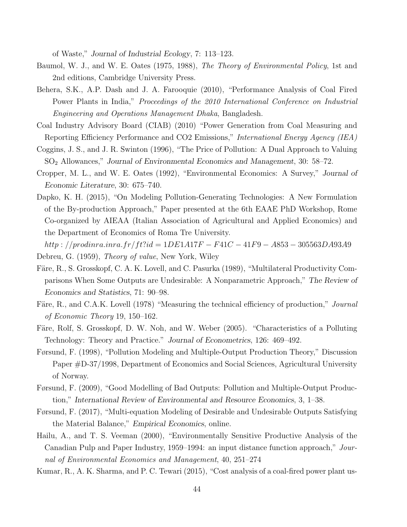of Waste," Journal of Industrial Ecology, 7: 113–123.

- Baumol, W. J., and W. E. Oates (1975, 1988), The Theory of Environmental Policy, 1st and 2nd editions, Cambridge University Press.
- Behera, S.K., A.P. Dash and J. A. Farooquie (2010), "Performance Analysis of Coal Fired Power Plants in India," *Proceedings of the 2010 International Conference on Industrial* Engineering and Operations Management Dhaka, Bangladesh.
- Coal Industry Advisory Board (CIAB) (2010) "Power Generation from Coal Measuring and Reporting Efficiency Performance and CO2 Emissions," *International Energy Agency (IEA)*
- Coggins, J. S., and J. R. Swinton (1996), "The Price of Pollution: A Dual Approach to Valuing SO<sup>2</sup> Allowances," Journal of Environmental Economics and Management, 30: 58–72.
- Cropper, M. L., and W. E. Oates (1992), "Environmental Economics: A Survey," Journal of Economic Literature, 30: 675–740.
- Dapko, K. H. (2015), "On Modeling Pollution-Generating Technologies: A New Formulation of the By-production Approach," Paper presented at the 6th EAAE PhD Workshop, Rome Co-organized by AIEAA (Italian Association of Agricultural and Applied Economics) and the Department of Economics of Roma Tre University.

 $http://prodinra.inra.fr/ft$ ?id = 1DE1A17F – F41C – 41F9 – A853 – 305563DA93A9 Debreu, G. (1959), Theory of value, New York, Wiley

- Färe, R., S. Grosskopf, C. A. K. Lovell, and C. Pasurka (1989), "Multilateral Productivity Comparisons When Some Outputs are Undesirable: A Nonparametric Approach," The Review of Economics and Statistics, 71: 90–98.
- Färe, R., and C.A.K. Lovell (1978) "Measuring the technical efficiency of production," Journal of Economic Theory 19, 150–162.
- Färe, Rolf, S. Grosskopf, D. W. Noh, and W. Weber (2005). "Characteristics of a Polluting Technology: Theory and Practice." Journal of Econometrics, 126: 469–492.
- Førsund, F. (1998), "Pollution Modeling and Multiple-Output Production Theory," Discussion Paper #D-37/1998, Department of Economics and Social Sciences, Agricultural University of Norway.
- Førsund, F. (2009), "Good Modelling of Bad Outputs: Pollution and Multiple-Output Production," International Review of Environmental and Resource Economics, 3, 1–38.
- Førsund, F. (2017), "Multi-equation Modeling of Desirable and Undesirable Outputs Satisfying the Material Balance," Empirical Economics, online.
- Hailu, A., and T. S. Veeman (2000), "Environmentally Sensitive Productive Analysis of the Canadian Pulp and Paper Industry, 1959–1994: an input distance function approach," Journal of Environmental Economics and Management, 40, 251–274
- Kumar, R., A. K. Sharma, and P. C. Tewari (2015), "Cost analysis of a coal-fired power plant us-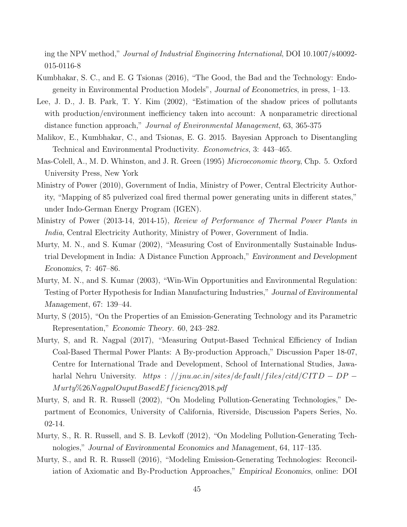ing the NPV method," Journal of Industrial Engineering International, DOI 10.1007/s40092- 015-0116-8

- Kumbhakar, S. C., and E. G Tsionas (2016), "The Good, the Bad and the Technology: Endogeneity in Environmental Production Models", Journal of Econometrics, in press, 1–13.
- Lee, J. D., J. B. Park, T. Y. Kim (2002), "Estimation of the shadow prices of pollutants with production/environment inefficiency taken into account: A nonparametric directional distance function approach," Journal of Environmental Management, 63, 365-375
- Malikov, E., Kumbhakar, C., and Tsionas, E. G. 2015. Bayesian Approach to Disentangling Technical and Environmental Productivity. Econometrics, 3: 443–465.
- Mas-Colell, A., M. D. Whinston, and J. R. Green (1995) *Microeconomic theory*, Chp. 5. Oxford University Press, New York
- Ministry of Power (2010), Government of India, Ministry of Power, Central Electricity Authority, "Mapping of 85 pulverized coal fired thermal power generating units in different states," under Indo-German Energy Program (IGEN).
- Ministry of Power (2013-14, 2014-15), Review of Performance of Thermal Power Plants in India, Central Electricity Authority, Ministry of Power, Government of India.
- Murty, M. N., and S. Kumar (2002), "Measuring Cost of Environmentally Sustainable Industrial Development in India: A Distance Function Approach," Environment and Development Economics, 7: 467–86.
- Murty, M. N., and S. Kumar (2003), "Win-Win Opportunities and Environmental Regulation: Testing of Porter Hypothesis for Indian Manufacturing Industries," Journal of Environmental Management, 67: 139–44.
- Murty, S (2015), "On the Properties of an Emission-Generating Technology and its Parametric Representation," Economic Theory. 60, 243–282.
- Murty, S, and R. Nagpal (2017), "Measuring Output-Based Technical Efficiency of Indian Coal-Based Thermal Power Plants: A By-production Approach," Discussion Paper 18-07, Centre for International Trade and Development, School of International Studies, Jawaharlal Nehru University. https : //jnu.ac.in/sites/default/files/citd/CITD – DP – Murty%26N agpalOuputBasedEff iciency2018.pdf
- Murty, S, and R. R. Russell (2002), "On Modeling Pollution-Generating Technologies," Department of Economics, University of California, Riverside, Discussion Papers Series, No. 02-14.
- Murty, S., R. R. Russell, and S. B. Levkoff (2012), "On Modeling Pollution-Generating Technologies," Journal of Environmental Economics and Management, 64, 117–135.
- Murty, S., and R. R. Russell (2016), "Modeling Emission-Generating Technologies: Reconciliation of Axiomatic and By-Production Approaches," Empirical Economics, online: DOI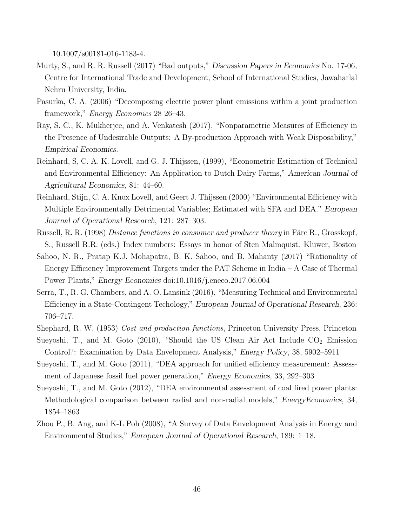10.1007/s00181-016-1183-4.

- Murty, S., and R. R. Russell (2017) "Bad outputs," Discussion Papers in Economics No. 17-06, Centre for International Trade and Development, School of International Studies, Jawaharlal Nehru University, India.
- Pasurka, C. A. (2006) "Decomposing electric power plant emissions within a joint production framework," Energy Economics 28 26–43.
- Ray, S. C., K. Mukherjee, and A. Venkatesh (2017), "Nonparametric Measures of Efficiency in the Presence of Undesirable Outputs: A By-production Approach with Weak Disposability," Empirical Economics.
- Reinhard, S, C. A. K. Lovell, and G. J. Thijssen, (1999), "Econometric Estimation of Technical and Environmental Efficiency: An Application to Dutch Dairy Farms," American Journal of Agricultural Economics, 81: 44–60.
- Reinhard, Stijn, C. A. Knox Lovell, and Geert J. Thijssen (2000) "Environmental Efficiency with Multiple Environmentally Detrimental Variables; Estimated with SFA and DEA." European Journal of Operational Research, 121: 287–303.
- Russell, R. R. (1998) *Distance functions in consumer and producer theory* in Färe R., Grosskopf, S., Russell R.R. (eds.) Index numbers: Essays in honor of Sten Malmquist. Kluwer, Boston
- Sahoo, N. R., Pratap K.J. Mohapatra, B. K. Sahoo, and B. Mahanty (2017) "Rationality of Energy Efficiency Improvement Targets under the PAT Scheme in India – A Case of Thermal Power Plants," Energy Economics doi:10.1016/j.eneco.2017.06.004
- Serra, T., R. G. Chambers, and A. O. Lansink (2016), "Measuring Technical and Environmental Efficiency in a State-Contingent Techology," European Journal of Operational Research, 236: 706–717.
- Shephard, R. W. (1953) Cost and production functions, Princeton University Press, Princeton
- Sueyoshi, T., and M. Goto  $(2010)$ , "Should the US Clean Air Act Include  $CO<sub>2</sub>$  Emission Control?: Examination by Data Envelopment Analysis," Energy Policy, 38, 5902–5911
- Sueyoshi, T., and M. Goto (2011), "DEA approach for unified efficiency measurement: Assessment of Japanese fossil fuel power generation," Energy Economics, 33, 292–303
- Sueyoshi, T., and M. Goto (2012), "DEA environmental assessment of coal fired power plants: Methodological comparison between radial and non-radial models," EnergyEconomics, 34, 1854–1863
- Zhou P., B. Ang, and K-L Poh (2008), "A Survey of Data Envelopment Analysis in Energy and Environmental Studies," European Journal of Operational Research, 189: 1–18.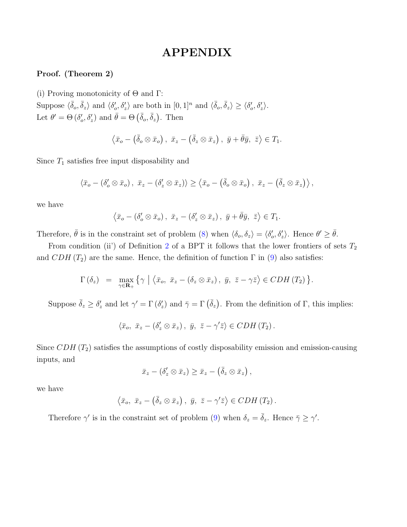## APPENDIX

#### Proof. (Theorem 2)

(i) Proving monotonicity of  $\Theta$  and  $\Gamma$ :

Suppose  $\langle \bar{\delta}_o, \bar{\delta}_z \rangle$  and  $\langle \delta'_o, \delta'_z \rangle$  are both in  $[0, 1]^n$  and  $\langle \bar{\delta}_o, \bar{\delta}_z \rangle \geq \langle \delta'_o, \delta'_z \rangle$ . Let  $\theta' = \Theta(\delta'_o, \delta'_z)$  and  $\bar{\theta} = \Theta(\bar{\delta}_o, \bar{\delta}_z)$ . Then

$$
\langle \bar{x}_o - (\bar{\delta}_o \otimes \bar{x}_o), \ \bar{x}_z - (\bar{\delta}_z \otimes \bar{x}_z), \ \bar{y} + \bar{\theta}\bar{y}, \ \bar{z} \rangle \in T_1.
$$

Since  $T_1$  satisfies free input disposability and

$$
\langle \bar{x}_o - (\delta_o' \otimes \bar{x}_o), \ \bar{x}_z - (\delta_z' \otimes \bar{x}_z) \rangle \geq \langle \bar{x}_o - (\bar{\delta}_o \otimes \bar{x}_o), \ \bar{x}_z - (\bar{\delta}_z \otimes \bar{x}_z) \rangle,
$$

we have

$$
\langle \bar{x}_o - (\delta_o' \otimes \bar{x}_o), \ \bar{x}_z - (\delta_z' \otimes \bar{x}_z), \ \bar{y} + \bar{\theta}\bar{y}, \ \bar{z} \rangle \in T_1.
$$

Therefore,  $\bar{\theta}$  is in the constraint set of problem [\(8\)](#page-16-1) when  $\langle \delta_o, \delta_z \rangle = \langle \delta_o', \delta_z' \rangle$ . Hence  $\theta' \geq \bar{\theta}$ .

From condition (ii) of Definition [2](#page-9-0) of a BPT it follows that the lower frontiers of sets  $T_2$ and  $CDH(T_2)$  are the same. Hence, the definition of function  $\Gamma$  in [\(9\)](#page-16-1) also satisfies:

$$
\Gamma\left(\delta_z\right) = \max_{\gamma \in \mathbf{R}_+} \left\{ \gamma \mid \left\langle \bar{x}_o, \ \bar{x}_z - \left(\delta_z \otimes \bar{x}_z\right), \ \bar{y}, \ \bar{z} - \gamma \bar{z} \right\rangle \in CDH\left(T_2\right) \right\}.
$$

Suppose  $\bar{\delta}_z \geq \delta'_z$  and let  $\gamma' = \Gamma(\delta'_z)$  and  $\bar{\gamma} = \Gamma(\bar{\delta}_z)$ . From the definition of  $\Gamma$ , this implies:

$$
\langle \bar{x}_o, \ \bar{x}_z - (\delta'_z \otimes \bar{x}_z), \ \bar{y}, \ \bar{z} - \gamma' \bar{z} \rangle \in CDH(T_2).
$$

Since  $CDH(T_2)$  satisfies the assumptions of costly disposability emission and emission-causing inputs, and

$$
\bar{x}_z - (\delta'_z \otimes \bar{x}_z) \ge \bar{x}_z - (\bar{\delta}_z \otimes \bar{x}_z),
$$

we have

$$
\langle \bar{x}_o, \bar{x}_z - (\bar{\delta}_z \otimes \bar{x}_z), \bar{y}, \bar{z} - \gamma' \bar{z} \rangle \in CDH(T_2).
$$

Therefore  $\gamma'$  is in the constraint set of problem [\(9\)](#page-16-1) when  $\delta_z = \bar{\delta}_z$ . Hence  $\bar{\gamma} \geq \gamma'$ .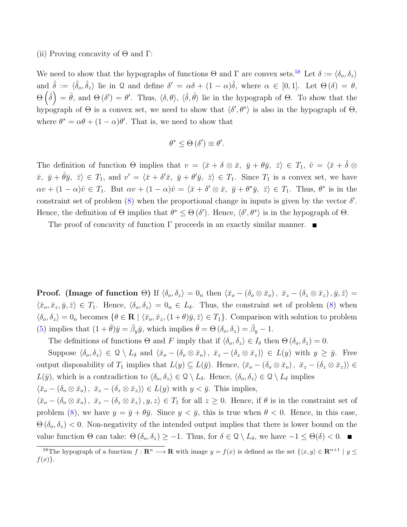(ii) Proving concavity of  $\Theta$  and  $\Gamma$ :

We need to show that the hypographs of functions  $\Theta$  and  $\Gamma$  are convex sets.<sup>[58](#page-0-0)</sup> Let  $\delta := \langle \delta_o, \delta_z \rangle$ and  $\hat{\delta} := \langle \hat{\delta}_o, \hat{\delta}_z \rangle$  lie in Q and define  $\delta' = \alpha \delta + (1 - \alpha)\hat{\delta}$ , where  $\alpha \in [0, 1]$ . Let  $\Theta(\delta) = \theta$ ,  $\Theta\left(\hat{\delta}\right) = \hat{\theta}$ , and  $\Theta\left(\delta'\right) = \theta'$ . Thus,  $\langle \delta, \theta \rangle$ ,  $\langle \hat{\delta}, \hat{\theta} \rangle$  lie in the hypograph of  $\Theta$ . To show that the hypograph of  $\Theta$  is a convex set, we need to show that  $\langle \delta', \theta^* \rangle$  is also in the hypograph of  $\Theta$ , where  $\theta^* = \alpha \theta + (1 - \alpha)\theta'$ . That is, we need to show that

$$
\theta^* \leq \Theta\left(\delta'\right) \equiv \theta'.
$$

The definition of function  $\Theta$  implies that  $v = \langle \bar{x} + \delta \otimes \bar{x}, \bar{y} + \theta \bar{y}, \bar{z} \rangle \in T_1$ ,  $\hat{v} = \langle \bar{x} + \hat{\delta} \otimes \bar{x}, \bar{y} + \theta \bar{y} \rangle$  $\bar{x}, \bar{y} + \hat{\theta}\bar{y}, \bar{z} \in T_1$ , and  $v' = \langle \bar{x} + \delta'\bar{x}, \bar{y} + \theta'\bar{y}, \bar{z} \rangle \in T_1$ . Since  $T_1$  is a convex set, we have  $\alpha v + (1 - \alpha)\hat{v} \in T_1$ . But  $\alpha v + (1 - \alpha)\hat{v} = \langle \bar{x} + \delta' \otimes \bar{x}, \bar{y} + \theta^* \bar{y}, \bar{z} \rangle \in T_1$ . Thus,  $\theta^*$  is in the constraint set of problem  $(8)$  when the proportional change in inputs is given by the vector  $\delta'$ . Hence, the definition of  $\Theta$  implies that  $\theta^* \leq \Theta(\delta')$ . Hence,  $\langle \delta', \theta^* \rangle$  is in the hypograph of  $\Theta$ .

The proof of concavity of function  $\Gamma$  proceeds in an exactly similar manner.

**Proof.** (Image of function Θ) If  $\langle \delta_o, \delta_z \rangle = 0_n$  then  $\langle \bar{x}_o - (\delta_o \otimes \bar{x}_o), \bar{x}_z - (\delta_z \otimes \bar{x}_z), \bar{y}, \bar{z} \rangle = 0$  $\langle \bar{x}_o, \bar{x}_z, \bar{y}, \bar{z} \rangle \in T_1$ . Hence,  $\langle \delta_o, \delta_z \rangle = 0_n \in L_\delta$ . Thus, the constraint set of problem [\(8\)](#page-16-1) when  $\langle \delta_{o}, \delta_{z} \rangle = 0$ <sub>n</sub> becomes  $\{\theta \in \mathbf{R} \mid \langle \bar{x}_{o}, \bar{x}_{z},(1+\theta)\bar{y},\bar{z}\rangle \in T_1\}$ . Comparison with solution to problem [\(5\)](#page-14-3) implies that  $(1 + \bar{\theta})\bar{y} = \bar{\beta}_y \bar{y}$ , which implies  $\bar{\theta} = \Theta(\delta_o, \delta_z) = \bar{\beta}_y - 1$ .

The definitions of functions  $\Theta$  and F imply that if  $\langle \delta_o, \delta_z \rangle \in I_\delta$  then  $\Theta$   $(\delta_o, \delta_z) = 0$ .

Suppose  $\langle \delta_o, \delta_z \rangle \in \mathcal{Q} \setminus L_\delta$  and  $\langle \bar{x}_o - (\delta_o \otimes \bar{x}_o), \bar{x}_z - (\delta_z \otimes \bar{x}_z) \rangle \in L(y)$  with  $y \geq \bar{y}$ . Free output disposability of  $T_1$  implies that  $L(y) \subseteq L(\bar{y})$ . Hence,  $\langle \bar{x}_o - (\delta_o \otimes \bar{x}_o), \ \bar{x}_z - (\delta_z \otimes \bar{x}_z) \rangle \in$  $L(\bar{y})$ , which is a contradiction to  $\langle \delta_o, \delta_z \rangle \in \mathcal{Q} \setminus L_\delta$ . Hence,  $\langle \delta_o, \delta_z \rangle \in \mathcal{Q} \setminus L_\delta$  implies  $\langle \bar{x}_o - (\delta_o \otimes \bar{x}_o), \ \bar{x}_z - (\delta_z \otimes \bar{x}_z) \rangle \in L(y)$  with  $y < \bar{y}$ . This implies,  $\langle \bar{x}_{o} - (\delta_o \otimes \bar{x}_o), \ \bar{x}_{z} - (\delta_z \otimes \bar{x}_z), y, z \rangle \in T_1$  for all  $z \geq 0$ . Hence, if  $\theta$  is in the constraint set of problem [\(8\)](#page-16-1), we have  $y = \bar{y} + \theta \bar{y}$ . Since  $y < \bar{y}$ , this is true when  $\theta < 0$ . Hence, in this case,  $\Theta(\delta_o, \delta_z)$  < 0. Non-negativity of the intended output implies that there is lower bound on the value function  $\Theta$  can take:  $\Theta$  ( $\delta_o$ ,  $\delta_z$ ) ≥ −1. Thus, for  $\delta \in \mathcal{Q} \setminus L_\delta$ , we have  $-1 \leq \Theta(\delta) < 0$ . ■

<sup>&</sup>lt;sup>58</sup>The hypograph of a function  $f : \mathbf{R}^n \longrightarrow \mathbf{R}$  with image  $y = f(x)$  is defined as the set  $\{(x, y) \in \mathbf{R}^{n+1} \mid y \leq y \leq 1\}$  $f(x)\}.$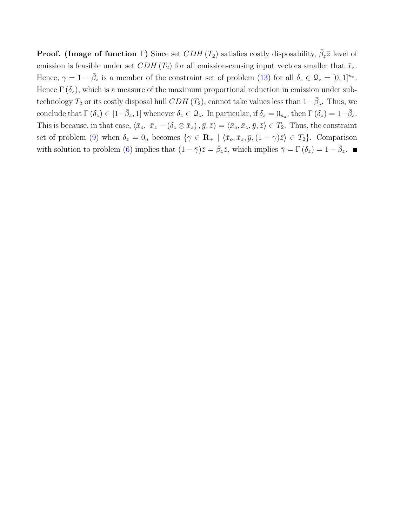**Proof.** (Image of function  $\Gamma$ ) Since set  $CDH(T_2)$  satisfies costly disposability,  $\bar{\beta}_z\bar{z}$  level of emission is feasible under set CDH  $(T_2)$  for all emission-causing input vectors smaller that  $\bar{x}_z$ . Hence,  $\gamma = 1 - \bar{\beta}_z$  is a member of the constraint set of problem [\(13\)](#page-20-0) for all  $\delta_z \in \Omega_z = [0, 1]^{n_z}$ . Hence  $\Gamma(\delta_z)$ , which is a measure of the maximum proportional reduction in emission under subtechnology  $T_2$  or its costly disposal hull  $CDH$  ( $T_2$ ), cannot take values less than  $1-\bar{\beta}_z$ . Thus, we conclude that  $\Gamma(\delta_z) \in [1-\overline{\beta}_z, 1]$  whenever  $\delta_z \in \mathcal{Q}_z$ . In particular, if  $\delta_z = 0_{n_z}$ , then  $\Gamma(\delta_z) = 1-\overline{\beta}_z$ . This is because, in that case,  $\langle \bar{x}_o, \bar{x}_z - (\delta_z \otimes \bar{x}_z), \bar{y}, \bar{z} \rangle = \langle \bar{x}_o, \bar{x}_z, \bar{y}, \bar{z} \rangle \in T_2$ . Thus, the constraint set of problem [\(9\)](#page-16-1) when  $\delta_z = 0_n$  becomes  $\{\gamma \in \mathbf{R}_+ \mid \langle \bar{x}_o, \bar{x}_z, \bar{y}, (1 - \gamma)\bar{z}\rangle \in T_2\}$ . Comparison with solution to problem [\(6\)](#page-14-2) implies that  $(1 - \bar{\gamma})\bar{z} = \bar{\beta}_z \bar{z}$ , which implies  $\bar{\gamma} = \Gamma(\delta_z) = 1 - \bar{\beta}_z$ .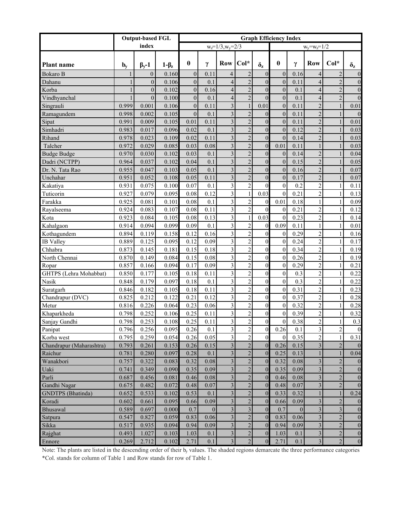|                          | <b>Output-based FGL</b>   |                    |             | <b>Graph Efficiency Index</b> |              |                            |                         |                  |                  |              |                         |                |                  |
|--------------------------|---------------------------|--------------------|-------------|-------------------------------|--------------|----------------------------|-------------------------|------------------|------------------|--------------|-------------------------|----------------|------------------|
|                          |                           | index              |             |                               |              | $w_{z} = 1/3, w_{y} = 2/3$ |                         |                  |                  |              | $w_y = w_z = 1/2$       |                |                  |
| <b>Plant name</b>        | $\mathbf{b}_{\mathbf{v}}$ | $\beta_{\rm v}$ -1 | $1-\beta_z$ | $\theta$                      | γ            | Row Col*                   |                         | $\delta_{\rm z}$ | $\theta$         | γ            | <b>Row</b>              | $Col*$         | $\delta_{\rm z}$ |
| <b>Bokaro B</b>          | 1                         | $\overline{0}$     | 0.160       | $\overline{0}$                | 0.11         | $\overline{4}$             | $\overline{2}$          | $\overline{0}$   | $\overline{0}$   | 0.16         | $\overline{4}$          | $\overline{2}$ | $\boldsymbol{0}$ |
| Dahanu                   |                           | $\overline{0}$     | 0.106       | $\overline{0}$                | 0.1          | $\overline{4}$             | $\overline{2}$          | $\overline{0}$   | $\mathbf{0}$     | 0.11         | $\overline{4}$          | $\overline{2}$ | $\boldsymbol{0}$ |
| Korba                    |                           | $\overline{0}$     | 0.102       | $\overline{0}$                | 0.16         | $\overline{4}$             | $\overline{2}$          | $\overline{0}$   | $\mathbf{0}$     | 0.1          | $\overline{4}$          | $\overline{2}$ | $\boldsymbol{0}$ |
| Vindhyanchal             |                           | $\overline{0}$     | 0.100       | $\overline{0}$                | 0.1          | $\overline{4}$             | $\overline{2}$          | $\overline{0}$   | $\overline{0}$   | 0.1          | $\overline{4}$          | $\overline{2}$ | $\overline{0}$   |
| Singrauli                | 0.999                     | 0.001              | 0.106       | $\overline{0}$                | 0.11         | $\overline{\mathbf{3}}$    | $\mathbf{1}$            | 0.01             | $\overline{0}$   | 0.11         | $\overline{2}$          | $\mathbf{1}$   | 0.01             |
| Ramagundem               | 0.998                     | 0.002              | 0.105       | $\overline{0}$                | 0.1          | $\overline{3}$             | $\overline{2}$          | $\overline{0}$   | $\overline{0}$   | 0.11         | $\overline{2}$          | $\mathbf{1}$   | $\overline{0}$   |
| Sipat                    | 0.991                     | 0.009              | 0.105       | 0.01                          | 0.11         | $\overline{3}$             | $\overline{2}$          | $\overline{0}$   | $\overline{0}$   | 0.11         | $\overline{c}$          | 1              | 0.01             |
| Simhadri                 | 0.983                     | 0.017              | 0.096       | 0.02                          | 0.1          | $\overline{3}$             | $\overline{2}$          | $\overline{0}$   | $\overline{0}$   | 0.12         | $\overline{2}$          | $\mathbf{1}$   | 0.03             |
| Rihand                   | 0.978                     | 0.023              | 0.109       | 0.02                          | 0.11         | $\overline{3}$             | $\overline{2}$          | $\mathbf{0}$     | $\theta$         | 0.14         | $\overline{2}$          |                | 0.03             |
| Talcher                  | 0.972                     | 0.029              | 0.085       | 0.03                          | 0.08         | $\overline{3}$             | $\overline{2}$          | $\mathbf{0}$     | 0.01             | 0.11         |                         | $\mathbf{1}$   | 0.03             |
| <b>Budge Budge</b>       | 0.970                     | 0.030              | 0.102       | 0.03                          | 0.1          | $\overline{3}$             | $\overline{2}$          | $\boldsymbol{0}$ | $\mathbf{0}$     | 0.14         | $\overline{c}$          |                | 0.04             |
| Dadri (NCTPP)            | 0.964                     | 0.037              | 0.102       | 0.04                          | 0.1          | $\overline{3}$             | $\overline{2}$          | $\overline{0}$   | $\overline{0}$   | 0.15         | $\overline{c}$          | 1              | 0.05             |
| Dr. N. Tata Rao          | 0.955                     | 0.047              | 0.103       | 0.05                          | 0.1          | $\overline{\mathbf{3}}$    | $\overline{2}$          | $\overline{0}$   | $\overline{0}$   | 0.16         | $\overline{c}$          | $\mathbf{1}$   | 0.07             |
| Unchahar                 | 0.951                     | 0.052              | 0.108       | 0.05                          | 0.11         | $\overline{\mathbf{3}}$    | $\overline{2}$          | $\overline{0}$   | $\overline{0}$   | 0.17         | $\overline{c}$          | 1              | 0.07             |
| Kakatiya                 | 0.931                     | 0.075              | 0.100       | 0.07                          | 0.1          | $\overline{\mathbf{3}}$    | $\mathbf 2$             | $\overline{0}$   | $\boldsymbol{0}$ | 0.2          | $\overline{2}$          | 1              | 0.11             |
| Tuticorin                | 0.927                     | 0.079              | 0.095       | 0.08                          | 0.12         | $\overline{3}$             | $\mathbf{1}$            | 0.03             | $\theta$         | 0.21         | $\overline{2}$          | 1              | 0.13             |
| Farakka                  | 0.925                     | 0.081              | 0.101       | 0.08                          | 0.1          | $\overline{3}$             | $\mathbf 2$             | $\mathbf{0}$     | 0.01             | 0.18         | 1                       | 1              | 0.09             |
| Rayalseema               | 0.924                     | 0.083              | 0.107       | 0.08                          | 0.11         | $\overline{\mathbf{3}}$    | $\mathbf 2$             | $\theta$         | $\mathbf{0}$     | 0.21         | $\overline{2}$          | 1              | 0.12             |
| Kota                     | 0.923                     | 0.084              | 0.105       | 0.08                          | 0.13         | $\overline{\mathbf{3}}$    | $\mathbf{1}$            | 0.03             | $\theta$         | 0.23         | $\overline{2}$          | 1              | 0.14             |
| Kahalgaon                | 0.914                     | 0.094              | 0.099       | 0.09                          | 0.1          | $\overline{\mathbf{3}}$    | $\mathbf 2$             | $\mathbf{0}$     | 0.09             | 0.11         | 1                       | 1              | 0.01             |
| Kothagundem              | 0.894                     | 0.119              | 0.158       | 0.12                          | 0.16         | $\overline{3}$             | $\mathbf 2$             | $\mathbf{0}$     | $\mathbf{0}$     | 0.29         | $\overline{2}$          | 1              | 0.16             |
| <b>IB</b> Valley         | 0.889                     | 0.125              | 0.095       | 0.12                          | 0.09         | $\overline{3}$             | $\mathbf 2$             | $\mathbf{0}$     | $\mathbf{0}$     | 0.24         | $\overline{2}$          | 1              | 0.17             |
| Chhabra                  | 0.873                     | 0.145              | 0.181       | 0.15                          | 0.18         | $\overline{3}$             | $\overline{c}$          | $\overline{0}$   | $\mathbf{0}$     | 0.34         | $\overline{2}$          | 1              | 0.19             |
| North Chennai            | 0.870                     | 0.149              | 0.084       | 0.15                          | 0.08         | $\overline{3}$             | $\mathbf 2$             | $\overline{0}$   | $\mathbf{0}$     | 0.26         | $\overline{2}$          | 1              | 0.19             |
| Ropar                    | 0.857                     | 0.166              | 0.094       | 0.17                          | 0.09         | $\overline{3}$             | $\overline{c}$          | $\overline{0}$   | $\mathbf{0}$     | 0.29         | $\overline{2}$          | 1              | 0.21             |
| GHTPS (Lehra Mohabbat)   | 0.850                     | 0.177              | 0.105       | 0.18                          | 0.11         | $\overline{3}$             | $\mathbf 2$             | $\overline{0}$   | $\boldsymbol{0}$ | 0.3          | $\overline{2}$          | 1              | 0.22             |
| Nasik                    | 0.848                     | 0.179              | 0.097       | 0.18                          | 0.1          | $\overline{3}$             | $\mathbf 2$             | $\overline{0}$   | $\boldsymbol{0}$ | 0.3          | $\overline{2}$          | 1              | 0.22             |
| Suratgarh                | 0.846                     | 0.182              | 0.105       | 0.18                          | 0.11         | $\overline{3}$             | $\mathbf 2$             | $\overline{0}$   | $\mathbf{0}$     | 0.31         | $\overline{2}$          | 1              | 0.23             |
| Chandrapur (DVC)         | 0.825                     | 0.212              | 0.122       | 0.21                          | 0.12         | $\overline{3}$             | $\mathbf 2$             | $\mathbf{0}$     | $\mathbf{0}$     | 0.37         | $\overline{2}$          | 1              | 0.28             |
| Metur                    | 0.816                     | 0.226              | 0.064       | 0.23                          | 0.06         | $\overline{3}$             | $\overline{c}$          | $\overline{0}$   | $\mathbf{0}$     | 0.32         | $\overline{2}$          | 1              | 0.28             |
| Khaparkheda              | 0.798                     | 0.252              | 0.106       | 0.25                          | 0.11         | $\overline{3}$             | $\mathbf 2$             | $\mathbf{0}$     | $\mathbf{0}$     | 0.39         | $\overline{2}$          | 1              | 0.32             |
| Sanjay Gandhi            | 0.798                     | 0.253              | 0.108       | 0.25                          | 0.11         | $\overline{\mathbf{3}}$    | $\mathbf 2$             | $\boldsymbol{0}$ | $\mathbf{0}$     | 0.38         | $\overline{c}$          | $\mathbf{1}$   | 0.3              |
| Panipat                  | 0.796                     | 0.256              | 0.095       | 0.26                          | 0.1          | $\overline{3}$             | $\overline{2}$          | $\Omega$         | 0.26             | 0.1          | $\mathcal{E}$           | $\overline{2}$ | $\boldsymbol{0}$ |
| Korba west               | 0.795                     | 0.259              | 0.054       | 0.26                          | 0.05         | $\overline{\mathbf{3}}$    | $\sqrt{2}$              | $\boldsymbol{0}$ | $\mathbf{0}$     | 0.35         | $\sqrt{2}$              | $\mathbf{1}$   | 0.31             |
| Chandrapur (Maharashtra) | 0.793                     | 0.261              | 0.153       | 0.26                          | 0.15         | $\overline{\mathbf{3}}$    | $\sqrt{2}$              | $\boldsymbol{0}$ | 0.26             | 0.15         | $\overline{\mathbf{3}}$ | $\sqrt{2}$     | $\boldsymbol{0}$ |
| Raichur                  | 0.781                     | 0.280              | 0.097       | 0.28                          | 0.1          | $\overline{\mathbf{3}}$    | $\sqrt{2}$              | $\boldsymbol{0}$ | 0.25             | 0.13         |                         | $\mathbf{1}$   | 0.04             |
| Wanakbori                | 0.757                     | 0.322              | 0.083       | 0.32                          | 0.08         | $\overline{\mathbf{3}}$    | $\sqrt{2}$              | $\overline{0}$   | 0.32             | 0.08         | $\overline{\mathbf{3}}$ | $\sqrt{2}$     | $\mathbf{0}$     |
| Uaki                     | 0.741                     | 0.349              | 0.090       | 0.35                          | 0.09         | $\overline{\mathbf{3}}$    | $\overline{c}$          | $\overline{0}$   | 0.35             | 0.09         | $\overline{\mathbf{3}}$ | $\sqrt{2}$     | $\boldsymbol{0}$ |
| Parli                    | 0.687                     | 0.456              | 0.081       | 0.46                          | 0.08         | $\overline{\mathbf{3}}$    | $\sqrt{2}$              | $\overline{0}$   | 0.46             | 0.08         | $\overline{\mathbf{3}}$ | $\sqrt{2}$     | $\boldsymbol{0}$ |
| Gandhi Nagar             | 0.675                     | 0.482              | 0.072       | 0.48                          | 0.07         | $\overline{\mathbf{3}}$    | $\sqrt{2}$              | $\overline{0}$   | 0.48             | 0.07         | $\overline{\mathbf{3}}$ | $\sqrt{2}$     | $\boldsymbol{0}$ |
| <b>GNDTPS</b> (Bhatinda) | 0.652                     | 0.533              | 0.102       | 0.53                          | 0.1          | $\overline{\mathbf{3}}$    | $\sqrt{2}$              | $\overline{0}$   | 0.33             | 0.32         |                         | 1              | 0.24             |
| Koradi                   | 0.602                     | 0.661              | 0.095       | 0.66                          | 0.09         | $\overline{\mathbf{3}}$    | $\sqrt{2}$              | $\overline{0}$   | 0.66             | 0.09         | $\overline{\mathbf{3}}$ | $\sqrt{2}$     | $\boldsymbol{0}$ |
| Bhusawal                 | 0.589                     | 0.697              | 0.000       | 0.7                           | $\mathbf{0}$ | $\overline{\mathbf{3}}$    | $\overline{\mathbf{3}}$ | $\boldsymbol{0}$ | 0.7              | $\mathbf{0}$ | $\overline{\mathbf{3}}$ | $\overline{3}$ | $\boldsymbol{0}$ |
| Satpura                  | 0.547                     | 0.827              | 0.059       | 0.83                          | 0.06         | $\overline{\mathbf{3}}$    | $\sqrt{2}$              | $\overline{0}$   | 0.83             | 0.06         | $\overline{\mathbf{3}}$ | $\sqrt{2}$     | $\boldsymbol{0}$ |
| Sikka                    | 0.517                     | 0.935              | 0.094       | 0.94                          | 0.09         | $\overline{\mathbf{3}}$    | $\sqrt{2}$              | $\overline{0}$   | 0.94             | 0.09         | $\overline{\mathbf{3}}$ | $\sqrt{2}$     | $\boldsymbol{0}$ |
| Rajghat                  | 0.493                     | 1.027              | 0.103       | 1.03                          | 0.1          | $\overline{\mathbf{3}}$    | $\sqrt{2}$              | $\boldsymbol{0}$ | 1.03             | 0.1          | $\overline{\mathbf{3}}$ | $\sqrt{2}$     | $\boldsymbol{0}$ |
| Ennore                   | 0.269                     | 2.712              | 0.102       | 2.71                          | 0.1          | $\overline{\mathbf{3}}$    | $\overline{2}$          | $\boldsymbol{0}$ | 2.71             | 0.1          | $\overline{\mathbf{3}}$ | $\sqrt{2}$     | $\boldsymbol{0}$ |
|                          |                           |                    |             |                               |              |                            |                         |                  |                  |              |                         |                |                  |

Note: The plants are listed in the descending order of their by values. The shaded regions demarcate the three performance categories \*Col. stands for column of Table 1 and Row stands for row of Table 1.